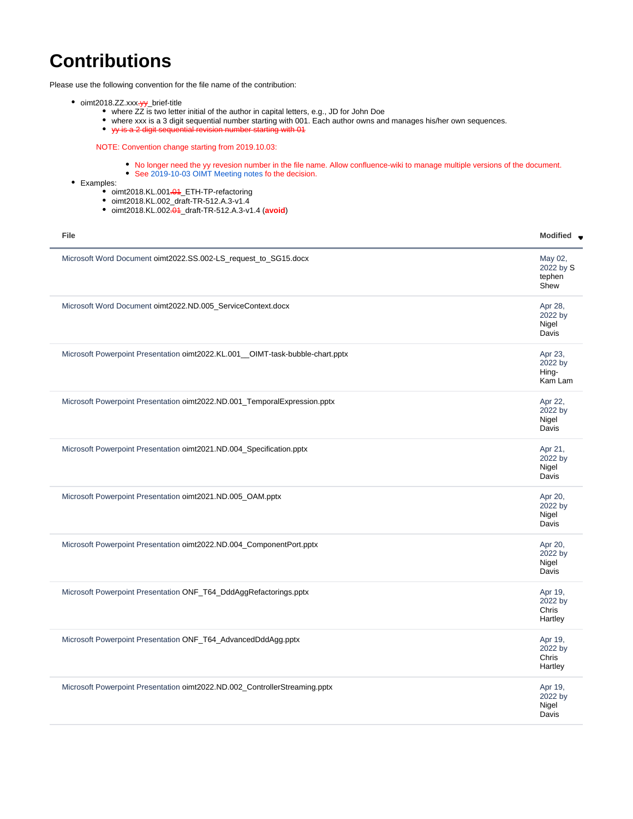## <span id="page-0-0"></span>**Contributions**

Please use the following convention for the file name of the contribution:

- oimt2018.ZZ.xxx-yy\_brief-title
	- where ZZ is two letter initial of the author in capital letters, e.g., JD for John Doe
	- where xxx is a 3 digit sequential number starting with 001. Each author owns and manages his/her own sequences.
	- yy is a 2 digit sequential revision number starting with 01

NOTE: Convention change starting from 2019.10.03:

- No longer need the yy revesion number in the file name. Allow confluence-wiki to manage multiple versions of the document.
- See [2019-10-03 OIMT Meeting notes](https://wiki.opennetworking.org/display/OIMT/2019-10-03+OIMT+Meeting+notes) fo the decision.
- Examples:
	- oimt2018.KL.001<del>.01</del>\_ETH-TP-refactoring
	- oimt2018.KL.002\_draft-TR-512.A.3-v1.4
	- oimt2018.KL.002.01\_draft-TR-512.A.3-v1.4 (**avoid**)

| File                                                                          | <b>Modified</b>                        |
|-------------------------------------------------------------------------------|----------------------------------------|
| Microsoft Word Document oimt2022.SS.002-LS_request_to_SG15.docx               | May 02,<br>2022 by S<br>tephen<br>Shew |
| Microsoft Word Document oimt2022.ND.005_ServiceContext.docx                   | Apr 28,<br>2022 by<br>Nigel<br>Davis   |
| Microsoft Powerpoint Presentation oimt2022.KL.001_OIMT-task-bubble-chart.pptx | Apr 23,<br>2022 by<br>Hing-<br>Kam Lam |
| Microsoft Powerpoint Presentation oimt2022.ND.001_TemporalExpression.pptx     | Apr 22,<br>2022 by<br>Nigel<br>Davis   |
| Microsoft Powerpoint Presentation oimt2021.ND.004_Specification.pptx          | Apr 21,<br>2022 by<br>Nigel<br>Davis   |
| Microsoft Powerpoint Presentation oimt2021.ND.005_OAM.pptx                    | Apr 20,<br>2022 by<br>Nigel<br>Davis   |
| Microsoft Powerpoint Presentation oimt2022.ND.004_ComponentPort.pptx          | Apr 20,<br>2022 by<br>Nigel<br>Davis   |
| Microsoft Powerpoint Presentation ONF_T64_DddAggRefactorings.pptx             | Apr 19,<br>2022 by<br>Chris<br>Hartley |
| Microsoft Powerpoint Presentation ONF_T64_AdvancedDddAgg.pptx                 | Apr 19,<br>2022 by<br>Chris<br>Hartley |
| Microsoft Powerpoint Presentation oimt2022.ND.002_ControllerStreaming.pptx    | Apr 19,<br>2022 by<br>Nigel<br>Davis   |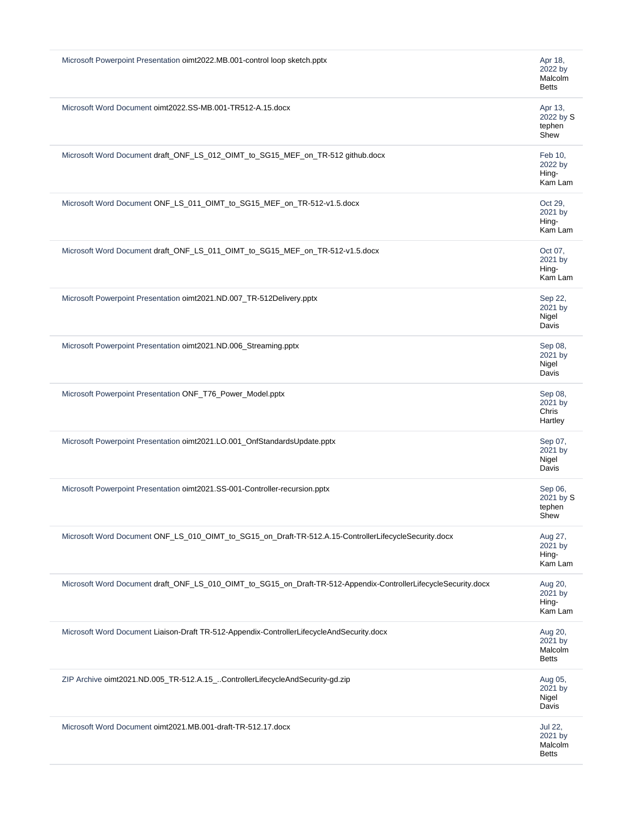| Microsoft Powerpoint Presentation oimt2022.MB.001-control loop sketch.pptx<br>Apr 18,<br>2022 by<br>Malcolm<br><b>Betts</b><br>Microsoft Word Document oimt2022.SS-MB.001-TR512-A.15.docx<br>Apr 13,<br>2022 by S<br>tephen<br>Shew<br>Microsoft Word Document draft_ONF_LS_012_OIMT_to_SG15_MEF_on_TR-512 github.docx<br>Feb 10.<br>2022 by<br>Hing-<br>Kam Lam<br>Microsoft Word Document ONF_LS_011_OIMT_to_SG15_MEF_on_TR-512-v1.5.docx<br>Oct 29,<br>2021 by<br>Hing-<br>Kam Lam<br>Microsoft Word Document draft_ONF_LS_011_OIMT_to_SG15_MEF_on_TR-512-v1.5.docx<br>Oct 07,<br>2021 by<br>Hing-<br>Kam Lam<br>Microsoft Powerpoint Presentation oimt2021.ND.007_TR-512Delivery.pptx<br>Sep 22,<br>2021 by<br>Nigel<br>Davis<br>Microsoft Powerpoint Presentation oimt2021.ND.006_Streaming.pptx<br>Sep 08,<br>2021 by<br>Nigel<br>Davis<br>Microsoft Powerpoint Presentation ONF_T76_Power_Model.pptx<br>Sep 08,<br>2021 by<br>Chris<br>Hartley<br>Microsoft Powerpoint Presentation oimt2021.LO.001_OnfStandardsUpdate.pptx<br>Sep 07,<br>2021 by<br>Nigel<br>Davis<br>Microsoft Powerpoint Presentation oimt2021.SS-001-Controller-recursion.pptx<br>Sep 06,<br>2021 by S<br>tephen<br>Shew<br>Microsoft Word Document ONF_LS_010_OIMT_to_SG15_on_Draft-TR-512.A.15-ControllerLifecycleSecurity.docx<br>Aug 27,<br>2021 by<br>Hing-<br>Kam Lam<br>Microsoft Word Document draft_ONF_LS_010_OIMT_to_SG15_on_Draft-TR-512-Appendix-ControllerLifecycleSecurity.docx<br>Aug 20,<br>2021 by<br>Hing-<br>Kam Lam<br>Microsoft Word Document Liaison-Draft TR-512-Appendix-ControllerLifecycleAndSecurity.docx<br>Aug 20,<br>2021 by<br>Malcolm<br><b>Betts</b><br>ZIP Archive oimt2021.ND.005_TR-512.A.15_ControllerLifecycleAndSecurity-gd.zip<br>Aug 05,<br>2021 by<br>Nigel<br>Davis<br>Microsoft Word Document oimt2021.MB.001-draft-TR-512.17.docx<br><b>Jul 22,</b><br>2021 by<br>Malcolm<br><b>Betts</b> |  |
|--------------------------------------------------------------------------------------------------------------------------------------------------------------------------------------------------------------------------------------------------------------------------------------------------------------------------------------------------------------------------------------------------------------------------------------------------------------------------------------------------------------------------------------------------------------------------------------------------------------------------------------------------------------------------------------------------------------------------------------------------------------------------------------------------------------------------------------------------------------------------------------------------------------------------------------------------------------------------------------------------------------------------------------------------------------------------------------------------------------------------------------------------------------------------------------------------------------------------------------------------------------------------------------------------------------------------------------------------------------------------------------------------------------------------------------------------------------------------------------------------------------------------------------------------------------------------------------------------------------------------------------------------------------------------------------------------------------------------------------------------------------------------------------------------------------------------------------------------------------------------------------------------------------------|--|
|                                                                                                                                                                                                                                                                                                                                                                                                                                                                                                                                                                                                                                                                                                                                                                                                                                                                                                                                                                                                                                                                                                                                                                                                                                                                                                                                                                                                                                                                                                                                                                                                                                                                                                                                                                                                                                                                                                                    |  |
|                                                                                                                                                                                                                                                                                                                                                                                                                                                                                                                                                                                                                                                                                                                                                                                                                                                                                                                                                                                                                                                                                                                                                                                                                                                                                                                                                                                                                                                                                                                                                                                                                                                                                                                                                                                                                                                                                                                    |  |
|                                                                                                                                                                                                                                                                                                                                                                                                                                                                                                                                                                                                                                                                                                                                                                                                                                                                                                                                                                                                                                                                                                                                                                                                                                                                                                                                                                                                                                                                                                                                                                                                                                                                                                                                                                                                                                                                                                                    |  |
|                                                                                                                                                                                                                                                                                                                                                                                                                                                                                                                                                                                                                                                                                                                                                                                                                                                                                                                                                                                                                                                                                                                                                                                                                                                                                                                                                                                                                                                                                                                                                                                                                                                                                                                                                                                                                                                                                                                    |  |
|                                                                                                                                                                                                                                                                                                                                                                                                                                                                                                                                                                                                                                                                                                                                                                                                                                                                                                                                                                                                                                                                                                                                                                                                                                                                                                                                                                                                                                                                                                                                                                                                                                                                                                                                                                                                                                                                                                                    |  |
|                                                                                                                                                                                                                                                                                                                                                                                                                                                                                                                                                                                                                                                                                                                                                                                                                                                                                                                                                                                                                                                                                                                                                                                                                                                                                                                                                                                                                                                                                                                                                                                                                                                                                                                                                                                                                                                                                                                    |  |
|                                                                                                                                                                                                                                                                                                                                                                                                                                                                                                                                                                                                                                                                                                                                                                                                                                                                                                                                                                                                                                                                                                                                                                                                                                                                                                                                                                                                                                                                                                                                                                                                                                                                                                                                                                                                                                                                                                                    |  |
|                                                                                                                                                                                                                                                                                                                                                                                                                                                                                                                                                                                                                                                                                                                                                                                                                                                                                                                                                                                                                                                                                                                                                                                                                                                                                                                                                                                                                                                                                                                                                                                                                                                                                                                                                                                                                                                                                                                    |  |
|                                                                                                                                                                                                                                                                                                                                                                                                                                                                                                                                                                                                                                                                                                                                                                                                                                                                                                                                                                                                                                                                                                                                                                                                                                                                                                                                                                                                                                                                                                                                                                                                                                                                                                                                                                                                                                                                                                                    |  |
|                                                                                                                                                                                                                                                                                                                                                                                                                                                                                                                                                                                                                                                                                                                                                                                                                                                                                                                                                                                                                                                                                                                                                                                                                                                                                                                                                                                                                                                                                                                                                                                                                                                                                                                                                                                                                                                                                                                    |  |
|                                                                                                                                                                                                                                                                                                                                                                                                                                                                                                                                                                                                                                                                                                                                                                                                                                                                                                                                                                                                                                                                                                                                                                                                                                                                                                                                                                                                                                                                                                                                                                                                                                                                                                                                                                                                                                                                                                                    |  |
|                                                                                                                                                                                                                                                                                                                                                                                                                                                                                                                                                                                                                                                                                                                                                                                                                                                                                                                                                                                                                                                                                                                                                                                                                                                                                                                                                                                                                                                                                                                                                                                                                                                                                                                                                                                                                                                                                                                    |  |
|                                                                                                                                                                                                                                                                                                                                                                                                                                                                                                                                                                                                                                                                                                                                                                                                                                                                                                                                                                                                                                                                                                                                                                                                                                                                                                                                                                                                                                                                                                                                                                                                                                                                                                                                                                                                                                                                                                                    |  |
|                                                                                                                                                                                                                                                                                                                                                                                                                                                                                                                                                                                                                                                                                                                                                                                                                                                                                                                                                                                                                                                                                                                                                                                                                                                                                                                                                                                                                                                                                                                                                                                                                                                                                                                                                                                                                                                                                                                    |  |
|                                                                                                                                                                                                                                                                                                                                                                                                                                                                                                                                                                                                                                                                                                                                                                                                                                                                                                                                                                                                                                                                                                                                                                                                                                                                                                                                                                                                                                                                                                                                                                                                                                                                                                                                                                                                                                                                                                                    |  |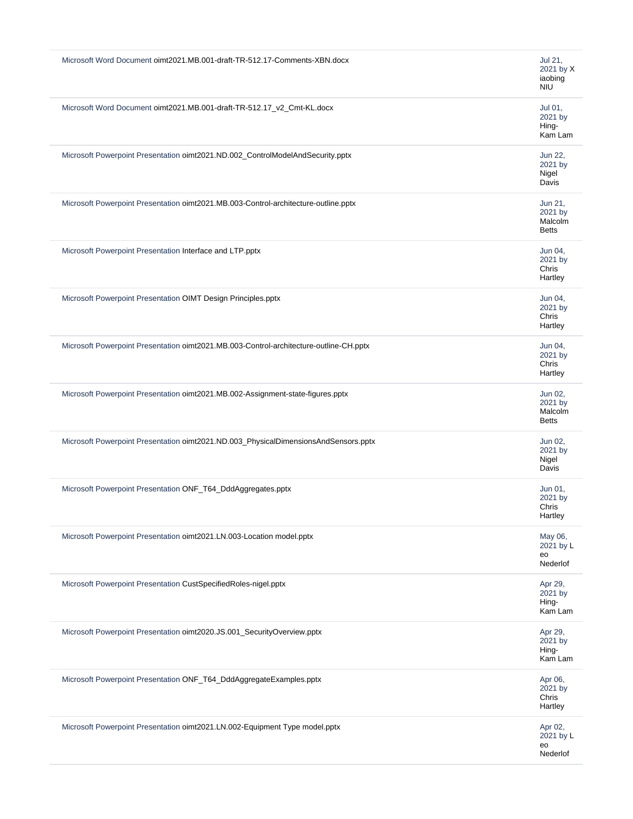| Microsoft Word Document oimt2021.MB.001-draft-TR-512.17-Comments-XBN.docx              | Jul 21,<br>2021 by X<br>iaobing<br><b>NIU</b> |
|----------------------------------------------------------------------------------------|-----------------------------------------------|
| Microsoft Word Document oimt2021.MB.001-draft-TR-512.17_v2_Cmt-KL.docx                 | Jul 01,<br>2021 by<br>Hing-<br>Kam Lam        |
| Microsoft Powerpoint Presentation oimt2021.ND.002_ControlModelAndSecurity.pptx         | Jun 22,<br>2021 by<br>Nigel<br>Davis          |
| Microsoft Powerpoint Presentation oimt2021.MB.003-Control-architecture-outline.pptx    | Jun 21,<br>2021 by<br>Malcolm<br><b>Betts</b> |
| Microsoft Powerpoint Presentation Interface and LTP.pptx                               | Jun 04,<br>2021 by<br>Chris<br>Hartley        |
| Microsoft Powerpoint Presentation OIMT Design Principles.pptx                          | Jun 04,<br>2021 by<br>Chris<br>Hartley        |
| Microsoft Powerpoint Presentation oimt2021.MB.003-Control-architecture-outline-CH.pptx | Jun 04,<br>2021 by<br>Chris<br>Hartley        |
| Microsoft Powerpoint Presentation oimt2021.MB.002-Assignment-state-figures.pptx        | Jun 02,<br>2021 by<br>Malcolm<br><b>Betts</b> |
| Microsoft Powerpoint Presentation oimt2021.ND.003_PhysicalDimensionsAndSensors.pptx    | Jun 02,<br>2021 by<br>Nigel<br>Davis          |
| Microsoft Powerpoint Presentation ONF_T64_DddAggregates.pptx                           | Jun 01,<br>2021 by<br>Chris<br>Hartley        |
| Microsoft Powerpoint Presentation oimt2021.LN.003-Location model.pptx                  | May 06,<br>2021 by L<br>eo<br>Nederlof        |
| Microsoft Powerpoint Presentation CustSpecifiedRoles-nigel.pptx                        | Apr 29,<br>2021 by<br>Hing-<br>Kam Lam        |
| Microsoft Powerpoint Presentation oimt2020.JS.001_SecurityOverview.pptx                | Apr 29,<br>2021 by<br>Hing-<br>Kam Lam        |
| Microsoft Powerpoint Presentation ONF_T64_DddAggregateExamples.pptx                    | Apr 06,<br>2021 by<br>Chris<br>Hartley        |
| Microsoft Powerpoint Presentation oimt2021.LN.002-Equipment Type model.pptx            | Apr 02,<br>2021 by L<br>eo<br>Nederlof        |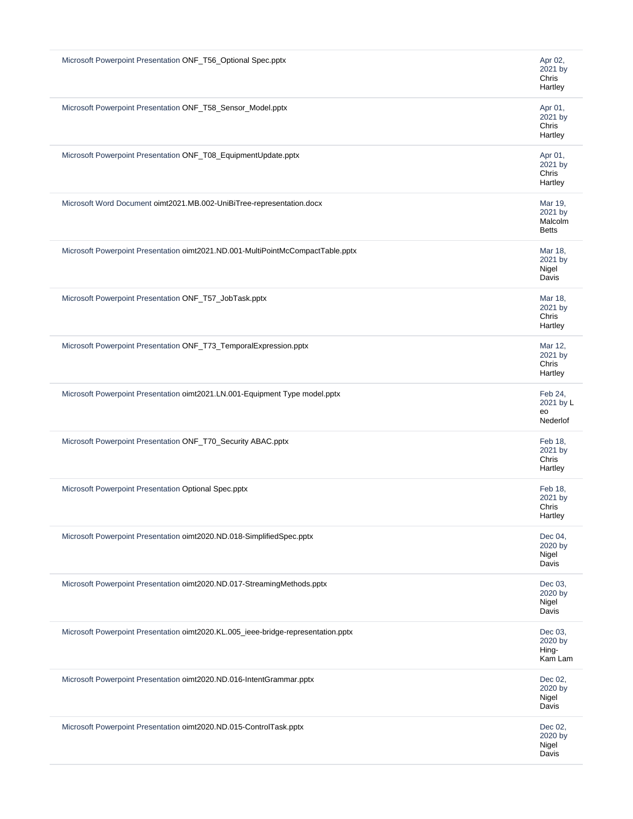| Microsoft Powerpoint Presentation ONF_T56_Optional Spec.pptx<br>Apr 02,<br>2021 by<br>Chris<br>Hartley<br>Microsoft Powerpoint Presentation ONF_T58_Sensor_Model.pptx<br>Apr 01,<br>2021 by<br>Chris<br>Hartley<br>Microsoft Powerpoint Presentation ONF_T08_EquipmentUpdate.pptx<br>Apr 01,<br>2021 by<br>Chris<br>Hartley<br>Microsoft Word Document oimt2021.MB.002-UniBiTree-representation.docx<br>Mar 19,<br>2021 by<br>Malcolm<br><b>Betts</b><br>Microsoft Powerpoint Presentation oimt2021.ND.001-MultiPointMcCompactTable.pptx<br>Mar 18,<br>2021 by<br>Nigel<br>Davis<br>Microsoft Powerpoint Presentation ONF_T57_JobTask.pptx<br>Mar 18,<br>2021 by<br>Chris<br>Hartley<br>Microsoft Powerpoint Presentation ONF_T73_TemporalExpression.pptx<br>Mar 12,<br>2021 by<br>Chris<br>Hartley<br>Microsoft Powerpoint Presentation oimt2021.LN.001-Equipment Type model.pptx<br>Feb 24,<br>2021 by L<br>eo<br>Nederlof<br>Microsoft Powerpoint Presentation ONF_T70_Security ABAC.pptx<br>Feb 18,<br>2021 by<br>Chris<br>Hartley<br>Microsoft Powerpoint Presentation Optional Spec.pptx<br>Feb 18,<br>2021 by<br>Chris<br>Hartley<br>Microsoft Powerpoint Presentation oimt2020.ND.018-SimplifiedSpec.pptx<br>Dec 04,<br>2020 by<br>Nigel<br>Davis<br>Microsoft Powerpoint Presentation oimt2020.ND.017-StreamingMethods.pptx<br>Dec 03,<br>2020 by<br>Nigel<br>Davis<br>Microsoft Powerpoint Presentation oimt2020.KL.005_ieee-bridge-representation.pptx<br>Dec 03,<br>2020 by<br>Hing-<br>Kam Lam<br>Dec 02,<br>Microsoft Powerpoint Presentation oimt2020.ND.016-IntentGrammar.pptx<br>2020 by<br>Nigel<br>Davis<br>Microsoft Powerpoint Presentation oimt2020.ND.015-ControlTask.pptx<br>Dec 02,<br>2020 by<br>Nigel<br>Davis |  |
|-------------------------------------------------------------------------------------------------------------------------------------------------------------------------------------------------------------------------------------------------------------------------------------------------------------------------------------------------------------------------------------------------------------------------------------------------------------------------------------------------------------------------------------------------------------------------------------------------------------------------------------------------------------------------------------------------------------------------------------------------------------------------------------------------------------------------------------------------------------------------------------------------------------------------------------------------------------------------------------------------------------------------------------------------------------------------------------------------------------------------------------------------------------------------------------------------------------------------------------------------------------------------------------------------------------------------------------------------------------------------------------------------------------------------------------------------------------------------------------------------------------------------------------------------------------------------------------------------------------------------------------------------------------------------------------------------------------------------------------------|--|
|                                                                                                                                                                                                                                                                                                                                                                                                                                                                                                                                                                                                                                                                                                                                                                                                                                                                                                                                                                                                                                                                                                                                                                                                                                                                                                                                                                                                                                                                                                                                                                                                                                                                                                                                           |  |
|                                                                                                                                                                                                                                                                                                                                                                                                                                                                                                                                                                                                                                                                                                                                                                                                                                                                                                                                                                                                                                                                                                                                                                                                                                                                                                                                                                                                                                                                                                                                                                                                                                                                                                                                           |  |
|                                                                                                                                                                                                                                                                                                                                                                                                                                                                                                                                                                                                                                                                                                                                                                                                                                                                                                                                                                                                                                                                                                                                                                                                                                                                                                                                                                                                                                                                                                                                                                                                                                                                                                                                           |  |
|                                                                                                                                                                                                                                                                                                                                                                                                                                                                                                                                                                                                                                                                                                                                                                                                                                                                                                                                                                                                                                                                                                                                                                                                                                                                                                                                                                                                                                                                                                                                                                                                                                                                                                                                           |  |
|                                                                                                                                                                                                                                                                                                                                                                                                                                                                                                                                                                                                                                                                                                                                                                                                                                                                                                                                                                                                                                                                                                                                                                                                                                                                                                                                                                                                                                                                                                                                                                                                                                                                                                                                           |  |
|                                                                                                                                                                                                                                                                                                                                                                                                                                                                                                                                                                                                                                                                                                                                                                                                                                                                                                                                                                                                                                                                                                                                                                                                                                                                                                                                                                                                                                                                                                                                                                                                                                                                                                                                           |  |
|                                                                                                                                                                                                                                                                                                                                                                                                                                                                                                                                                                                                                                                                                                                                                                                                                                                                                                                                                                                                                                                                                                                                                                                                                                                                                                                                                                                                                                                                                                                                                                                                                                                                                                                                           |  |
|                                                                                                                                                                                                                                                                                                                                                                                                                                                                                                                                                                                                                                                                                                                                                                                                                                                                                                                                                                                                                                                                                                                                                                                                                                                                                                                                                                                                                                                                                                                                                                                                                                                                                                                                           |  |
|                                                                                                                                                                                                                                                                                                                                                                                                                                                                                                                                                                                                                                                                                                                                                                                                                                                                                                                                                                                                                                                                                                                                                                                                                                                                                                                                                                                                                                                                                                                                                                                                                                                                                                                                           |  |
|                                                                                                                                                                                                                                                                                                                                                                                                                                                                                                                                                                                                                                                                                                                                                                                                                                                                                                                                                                                                                                                                                                                                                                                                                                                                                                                                                                                                                                                                                                                                                                                                                                                                                                                                           |  |
|                                                                                                                                                                                                                                                                                                                                                                                                                                                                                                                                                                                                                                                                                                                                                                                                                                                                                                                                                                                                                                                                                                                                                                                                                                                                                                                                                                                                                                                                                                                                                                                                                                                                                                                                           |  |
|                                                                                                                                                                                                                                                                                                                                                                                                                                                                                                                                                                                                                                                                                                                                                                                                                                                                                                                                                                                                                                                                                                                                                                                                                                                                                                                                                                                                                                                                                                                                                                                                                                                                                                                                           |  |
|                                                                                                                                                                                                                                                                                                                                                                                                                                                                                                                                                                                                                                                                                                                                                                                                                                                                                                                                                                                                                                                                                                                                                                                                                                                                                                                                                                                                                                                                                                                                                                                                                                                                                                                                           |  |
|                                                                                                                                                                                                                                                                                                                                                                                                                                                                                                                                                                                                                                                                                                                                                                                                                                                                                                                                                                                                                                                                                                                                                                                                                                                                                                                                                                                                                                                                                                                                                                                                                                                                                                                                           |  |
|                                                                                                                                                                                                                                                                                                                                                                                                                                                                                                                                                                                                                                                                                                                                                                                                                                                                                                                                                                                                                                                                                                                                                                                                                                                                                                                                                                                                                                                                                                                                                                                                                                                                                                                                           |  |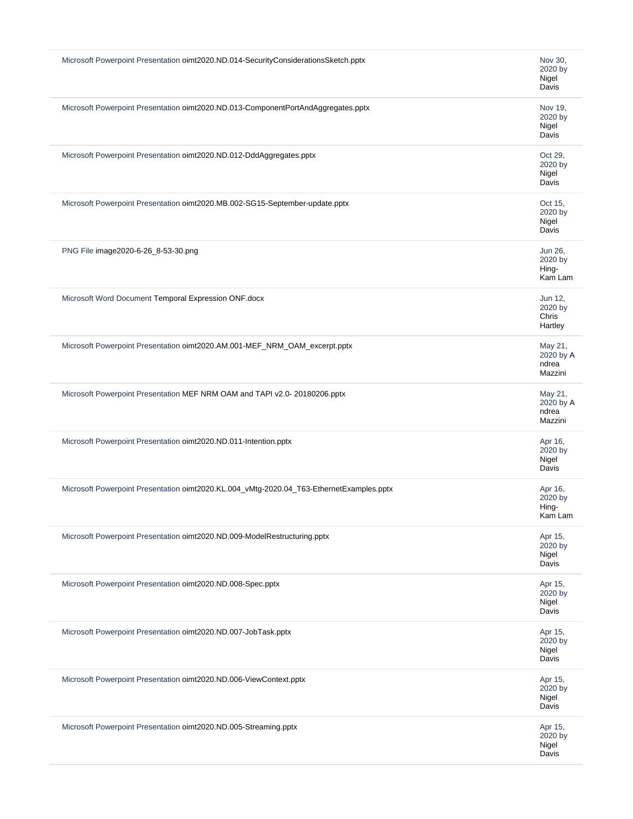| Microsoft Powerpoint Presentation oimt2020.ND.014-SecurityConsiderationsSketch.pptx      | Nov 30,<br>2020 by<br>Nigel<br>Davis     |
|------------------------------------------------------------------------------------------|------------------------------------------|
| Microsoft Powerpoint Presentation oimt2020.ND.013-ComponentPortAndAggregates.pptx        | Nov 19,<br>2020 by<br>Nigel<br>Davis     |
| Microsoft Powerpoint Presentation oimt2020.ND.012-DddAggregates.pptx                     | Oct 29,<br>2020 by<br>Nigel<br>Davis     |
| Microsoft Powerpoint Presentation oimt2020.MB.002-SG15-September-update.pptx             | Oct 15,<br>2020 by<br>Nigel<br>Davis     |
| PNG File image2020-6-26_8-53-30.png                                                      | Jun 26.<br>2020 by<br>Hing-<br>Kam Lam   |
| Microsoft Word Document Temporal Expression ONF.docx                                     | Jun 12,<br>2020 by<br>Chris<br>Hartley   |
| Microsoft Powerpoint Presentation oimt2020.AM.001-MEF_NRM_OAM_excerpt.pptx               | May 21,<br>2020 by A<br>ndrea<br>Mazzini |
| Microsoft Powerpoint Presentation MEF NRM OAM and TAPI v2.0-20180206.pptx                | May 21,<br>2020 by A<br>ndrea<br>Mazzini |
| Microsoft Powerpoint Presentation oimt2020.ND.011-Intention.pptx                         | Apr 16,<br>2020 by<br>Nigel<br>Davis     |
| Microsoft Powerpoint Presentation oimt2020.KL.004_vMtg-2020.04_T63-EthernetExamples.pptx | Apr 16,<br>2020 by<br>Hing-<br>Kam Lam   |
| Microsoft Powerpoint Presentation oimt2020.ND.009-ModelRestructuring.pptx                | Apr 15,<br>2020 by<br>Nigel<br>Davis     |
| Microsoft Powerpoint Presentation oimt2020.ND.008-Spec.pptx                              | Apr 15,<br>2020 by<br>Nigel<br>Davis     |
| Microsoft Powerpoint Presentation oimt2020.ND.007-JobTask.pptx                           | Apr 15,<br>2020 by<br>Nigel<br>Davis     |
| Microsoft Powerpoint Presentation oimt2020.ND.006-ViewContext.pptx                       | Apr 15,<br>2020 by<br>Nigel<br>Davis     |
| Microsoft Powerpoint Presentation oimt2020.ND.005-Streaming.pptx                         | Apr 15,<br>2020 by<br>Nigel<br>Davis     |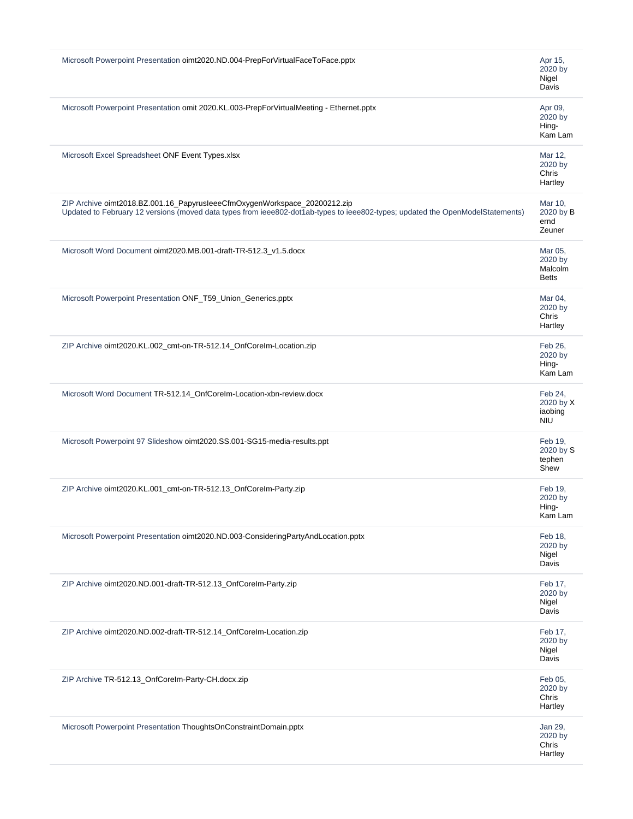| Microsoft Powerpoint Presentation oimt2020.ND.004-PrepForVirtualFaceToFace.pptx                                                                                                                             | Apr 15,<br>2020 by<br>Nigel<br>Davis          |
|-------------------------------------------------------------------------------------------------------------------------------------------------------------------------------------------------------------|-----------------------------------------------|
| Microsoft Powerpoint Presentation omit 2020.KL.003-PrepForVirtualMeeting - Ethernet.pptx                                                                                                                    | Apr 09,<br>2020 by<br>Hing-<br>Kam Lam        |
| Microsoft Excel Spreadsheet ONF Event Types.xlsx                                                                                                                                                            | Mar 12,<br>2020 by<br>Chris<br>Hartley        |
| ZIP Archive oimt2018.BZ.001.16_PapyrusleeeCfmOxygenWorkspace_20200212.zip<br>Updated to February 12 versions (moved data types from ieee802-dot1ab-types to ieee802-types; updated the OpenModelStatements) | Mar 10,<br>2020 by B<br>ernd<br>Zeuner        |
| Microsoft Word Document oimt2020.MB.001-draft-TR-512.3_v1.5.docx                                                                                                                                            | Mar 05,<br>2020 by<br>Malcolm<br><b>Betts</b> |
| Microsoft Powerpoint Presentation ONF_T59_Union_Generics.pptx                                                                                                                                               | Mar 04,<br>2020 by<br>Chris<br>Hartley        |
| ZIP Archive oimt2020.KL.002_cmt-on-TR-512.14_OnfCoreIm-Location.zip                                                                                                                                         | Feb 26,<br>2020 by<br>Hing-<br>Kam Lam        |
| Microsoft Word Document TR-512.14_OnfCoreIm-Location-xbn-review.docx                                                                                                                                        | Feb 24,<br>2020 by X<br>iaobing<br><b>NIU</b> |
| Microsoft Powerpoint 97 Slideshow oimt2020.SS.001-SG15-media-results.ppt                                                                                                                                    | Feb 19,<br>2020 by S<br>tephen<br>Shew        |
| ZIP Archive oimt2020.KL.001_cmt-on-TR-512.13_OnfCoreIm-Party.zip                                                                                                                                            | Feb 19,<br>2020 by<br>Hing-<br>Kam Lam        |
| Microsoft Powerpoint Presentation oimt2020.ND.003-ConsideringPartyAndLocation.pptx                                                                                                                          | Feb 18,<br>2020 by<br>Nigel<br>Davis          |
| ZIP Archive oimt2020.ND.001-draft-TR-512.13_OnfCoreIm-Party.zip                                                                                                                                             | Feb 17,<br>2020 by<br>Nigel<br>Davis          |
| ZIP Archive oimt2020.ND.002-draft-TR-512.14_OnfCoreIm-Location.zip                                                                                                                                          | Feb 17,<br>2020 by<br>Nigel<br>Davis          |
| ZIP Archive TR-512.13_OnfCoreIm-Party-CH.docx.zip                                                                                                                                                           | Feb 05,<br>2020 by<br>Chris<br>Hartley        |
| Microsoft Powerpoint Presentation ThoughtsOnConstraintDomain.pptx                                                                                                                                           | Jan 29,<br>2020 by<br>Chris<br>Hartley        |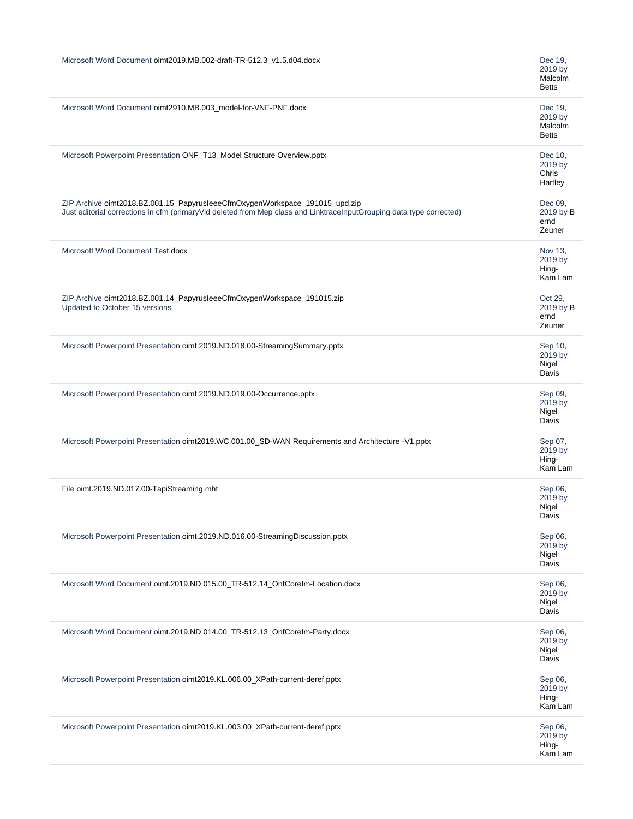| Microsoft Word Document oimt2019.MB.002-draft-TR-512.3_v1.5.d04.docx<br>Dec 19,<br>2019 by<br>Malcolm<br><b>Betts</b><br>Microsoft Word Document oimt2910.MB.003_model-for-VNF-PNF.docx<br>Dec 19,<br>2019 by<br>Malcolm<br><b>Betts</b><br>Microsoft Powerpoint Presentation ONF_T13_Model Structure Overview.pptx<br>Dec 10,<br>2019 by<br>Chris<br>Hartley<br>ZIP Archive oimt2018.BZ.001.15_PapyrusleeeCfmOxygenWorkspace_191015_upd.zip<br>Dec 09,<br>Just editorial corrections in cfm (primaryVid deleted from Mep class and LinktraceInputGrouping data type corrected)<br>2019 by B<br>ernd<br>Zeuner<br>Microsoft Word Document Test.docx<br>Nov 13,<br>2019 by<br>Hing-<br>Kam Lam<br>ZIP Archive oimt2018.BZ.001.14_PapyrusleeeCfmOxygenWorkspace_191015.zip<br>Oct 29,<br>Updated to October 15 versions<br>2019 by B<br>ernd<br>Zeuner<br>Microsoft Powerpoint Presentation oimt.2019.ND.018.00-StreamingSummary.pptx<br>Sep 10,<br>2019 by<br>Nigel<br>Davis<br>Microsoft Powerpoint Presentation oimt.2019.ND.019.00-Occurrence.pptx<br>Sep 09,<br>2019 by<br>Nigel<br>Davis<br>Microsoft Powerpoint Presentation oimt2019.WC.001.00_SD-WAN Requirements and Architecture -V1.pptx<br>Sep 07,<br>2019 by<br>Hing-<br>Kam Lam<br>File oimt.2019.ND.017.00-TapiStreaming.mht<br>Sep 06,<br>2019 by<br>Nigel<br>Davis<br>Microsoft Powerpoint Presentation oimt.2019.ND.016.00-StreamingDiscussion.pptx<br>Sep 06,<br>2019 by<br>Nigel<br>Davis<br>Microsoft Word Document oimt.2019.ND.015.00_TR-512.14_OnfCoreIm-Location.docx<br>Sep 06,<br>2019 by<br>Nigel<br>Davis<br>Microsoft Word Document oimt.2019.ND.014.00_TR-512.13_OnfCoreIm-Party.docx<br>Sep 06,<br>2019 by<br>Nigel<br>Davis<br>Microsoft Powerpoint Presentation oimt2019.KL.006.00_XPath-current-deref.pptx<br>Sep 06,<br>2019 by<br>Hing-<br>Kam Lam<br>Microsoft Powerpoint Presentation oimt2019.KL.003.00_XPath-current-deref.pptx<br>Sep 06,<br>2019 by<br>Hing-<br>Kam Lam |  |
|-------------------------------------------------------------------------------------------------------------------------------------------------------------------------------------------------------------------------------------------------------------------------------------------------------------------------------------------------------------------------------------------------------------------------------------------------------------------------------------------------------------------------------------------------------------------------------------------------------------------------------------------------------------------------------------------------------------------------------------------------------------------------------------------------------------------------------------------------------------------------------------------------------------------------------------------------------------------------------------------------------------------------------------------------------------------------------------------------------------------------------------------------------------------------------------------------------------------------------------------------------------------------------------------------------------------------------------------------------------------------------------------------------------------------------------------------------------------------------------------------------------------------------------------------------------------------------------------------------------------------------------------------------------------------------------------------------------------------------------------------------------------------------------------------------------------------------------------------------------------------------------------------------------------------------------------------------------------|--|
|                                                                                                                                                                                                                                                                                                                                                                                                                                                                                                                                                                                                                                                                                                                                                                                                                                                                                                                                                                                                                                                                                                                                                                                                                                                                                                                                                                                                                                                                                                                                                                                                                                                                                                                                                                                                                                                                                                                                                                   |  |
|                                                                                                                                                                                                                                                                                                                                                                                                                                                                                                                                                                                                                                                                                                                                                                                                                                                                                                                                                                                                                                                                                                                                                                                                                                                                                                                                                                                                                                                                                                                                                                                                                                                                                                                                                                                                                                                                                                                                                                   |  |
|                                                                                                                                                                                                                                                                                                                                                                                                                                                                                                                                                                                                                                                                                                                                                                                                                                                                                                                                                                                                                                                                                                                                                                                                                                                                                                                                                                                                                                                                                                                                                                                                                                                                                                                                                                                                                                                                                                                                                                   |  |
|                                                                                                                                                                                                                                                                                                                                                                                                                                                                                                                                                                                                                                                                                                                                                                                                                                                                                                                                                                                                                                                                                                                                                                                                                                                                                                                                                                                                                                                                                                                                                                                                                                                                                                                                                                                                                                                                                                                                                                   |  |
|                                                                                                                                                                                                                                                                                                                                                                                                                                                                                                                                                                                                                                                                                                                                                                                                                                                                                                                                                                                                                                                                                                                                                                                                                                                                                                                                                                                                                                                                                                                                                                                                                                                                                                                                                                                                                                                                                                                                                                   |  |
|                                                                                                                                                                                                                                                                                                                                                                                                                                                                                                                                                                                                                                                                                                                                                                                                                                                                                                                                                                                                                                                                                                                                                                                                                                                                                                                                                                                                                                                                                                                                                                                                                                                                                                                                                                                                                                                                                                                                                                   |  |
|                                                                                                                                                                                                                                                                                                                                                                                                                                                                                                                                                                                                                                                                                                                                                                                                                                                                                                                                                                                                                                                                                                                                                                                                                                                                                                                                                                                                                                                                                                                                                                                                                                                                                                                                                                                                                                                                                                                                                                   |  |
|                                                                                                                                                                                                                                                                                                                                                                                                                                                                                                                                                                                                                                                                                                                                                                                                                                                                                                                                                                                                                                                                                                                                                                                                                                                                                                                                                                                                                                                                                                                                                                                                                                                                                                                                                                                                                                                                                                                                                                   |  |
|                                                                                                                                                                                                                                                                                                                                                                                                                                                                                                                                                                                                                                                                                                                                                                                                                                                                                                                                                                                                                                                                                                                                                                                                                                                                                                                                                                                                                                                                                                                                                                                                                                                                                                                                                                                                                                                                                                                                                                   |  |
|                                                                                                                                                                                                                                                                                                                                                                                                                                                                                                                                                                                                                                                                                                                                                                                                                                                                                                                                                                                                                                                                                                                                                                                                                                                                                                                                                                                                                                                                                                                                                                                                                                                                                                                                                                                                                                                                                                                                                                   |  |
|                                                                                                                                                                                                                                                                                                                                                                                                                                                                                                                                                                                                                                                                                                                                                                                                                                                                                                                                                                                                                                                                                                                                                                                                                                                                                                                                                                                                                                                                                                                                                                                                                                                                                                                                                                                                                                                                                                                                                                   |  |
|                                                                                                                                                                                                                                                                                                                                                                                                                                                                                                                                                                                                                                                                                                                                                                                                                                                                                                                                                                                                                                                                                                                                                                                                                                                                                                                                                                                                                                                                                                                                                                                                                                                                                                                                                                                                                                                                                                                                                                   |  |
|                                                                                                                                                                                                                                                                                                                                                                                                                                                                                                                                                                                                                                                                                                                                                                                                                                                                                                                                                                                                                                                                                                                                                                                                                                                                                                                                                                                                                                                                                                                                                                                                                                                                                                                                                                                                                                                                                                                                                                   |  |
|                                                                                                                                                                                                                                                                                                                                                                                                                                                                                                                                                                                                                                                                                                                                                                                                                                                                                                                                                                                                                                                                                                                                                                                                                                                                                                                                                                                                                                                                                                                                                                                                                                                                                                                                                                                                                                                                                                                                                                   |  |
|                                                                                                                                                                                                                                                                                                                                                                                                                                                                                                                                                                                                                                                                                                                                                                                                                                                                                                                                                                                                                                                                                                                                                                                                                                                                                                                                                                                                                                                                                                                                                                                                                                                                                                                                                                                                                                                                                                                                                                   |  |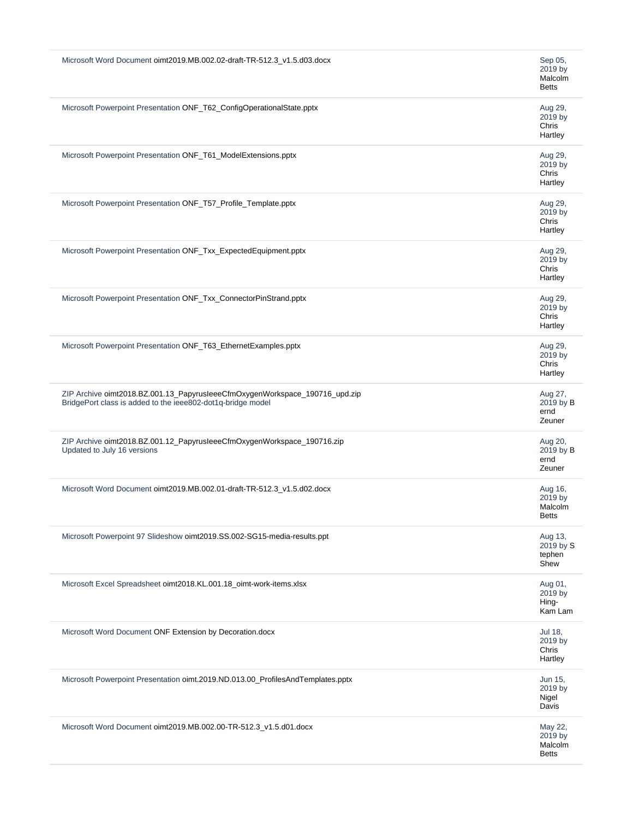| Microsoft Word Document oimt2019.MB.002.02-draft-TR-512.3_v1.5.d03.docx                                                                    | Sep 05,<br>2019 by<br>Malcolm<br><b>Betts</b> |
|--------------------------------------------------------------------------------------------------------------------------------------------|-----------------------------------------------|
| Microsoft Powerpoint Presentation ONF_T62_ConfigOperationalState.pptx                                                                      | Aug 29,<br>2019 by<br>Chris<br>Hartley        |
| Microsoft Powerpoint Presentation ONF_T61_ModelExtensions.pptx                                                                             | Aug 29,<br>2019 by<br>Chris<br>Hartley        |
| Microsoft Powerpoint Presentation ONF_T57_Profile_Template.pptx                                                                            | Aug 29,<br>2019 by<br>Chris<br>Hartley        |
| Microsoft Powerpoint Presentation ONF_Txx_ExpectedEquipment.pptx                                                                           | Aug 29,<br>2019 by<br>Chris<br>Hartley        |
| Microsoft Powerpoint Presentation ONF_Txx_ConnectorPinStrand.pptx                                                                          | Aug 29,<br>2019 by<br>Chris<br>Hartley        |
| Microsoft Powerpoint Presentation ONF_T63_EthernetExamples.pptx                                                                            | Aug 29,<br>2019 by<br>Chris<br>Hartley        |
| ZIP Archive oimt2018.BZ.001.13_PapyrusleeeCfmOxygenWorkspace_190716_upd.zip<br>BridgePort class is added to the ieee802-dot1q-bridge model | Aug 27,<br>2019 by B<br>ernd<br>Zeuner        |
| ZIP Archive oimt2018.BZ.001.12_PapyrusleeeCfmOxygenWorkspace_190716.zip<br>Updated to July 16 versions                                     | Aug 20,<br>2019 by B<br>ernd<br>Zeuner        |
| Microsoft Word Document oimt2019.MB.002.01-draft-TR-512.3_v1.5.d02.docx                                                                    | Aug 16,<br>2019 by<br>Malcolm<br><b>Betts</b> |
| Microsoft Powerpoint 97 Slideshow oimt2019.SS.002-SG15-media-results.ppt                                                                   | Aug 13,<br>2019 by S<br>tephen<br>Shew        |
| Microsoft Excel Spreadsheet oimt2018.KL.001.18_oimt-work-items.xlsx                                                                        | Aug 01,<br>2019 by<br>Hing-<br>Kam Lam        |
| Microsoft Word Document ONF Extension by Decoration.docx                                                                                   | Jul 18,<br>2019 by<br>Chris<br>Hartley        |
| Microsoft Powerpoint Presentation oimt.2019.ND.013.00_ProfilesAndTemplates.pptx                                                            | Jun 15,<br>2019 by<br>Nigel<br>Davis          |
| Microsoft Word Document oimt2019.MB.002.00-TR-512.3_v1.5.d01.docx                                                                          | May 22,<br>2019 by<br>Malcolm<br><b>Betts</b> |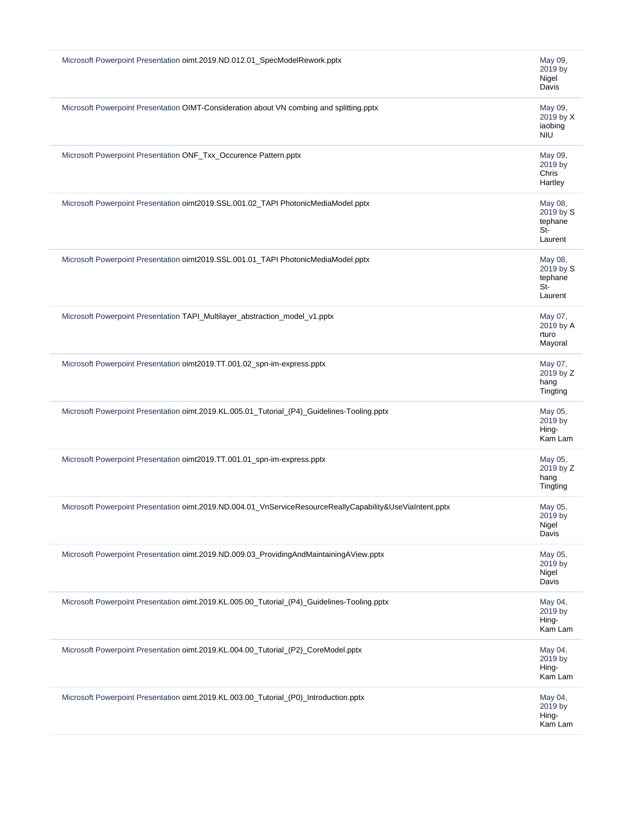| Microsoft Powerpoint Presentation oimt.2019.ND.012.01_SpecModelRework.pptx                                | May 09,<br>2019 by<br>Nigel<br>Davis                |
|-----------------------------------------------------------------------------------------------------------|-----------------------------------------------------|
| Microsoft Powerpoint Presentation OIMT-Consideration about VN combing and splitting.pptx                  | May 09,<br>2019 by X<br>iaobing<br><b>NIU</b>       |
| Microsoft Powerpoint Presentation ONF_Txx_Occurence Pattern.pptx                                          | May 09,<br>2019 by<br>Chris<br>Hartley              |
| Microsoft Powerpoint Presentation oimt2019.SSL.001.02_TAPI PhotonicMediaModel.pptx                        | May 08,<br>2019 by S<br>tephane<br>$St-$<br>Laurent |
| Microsoft Powerpoint Presentation oimt2019.SSL.001.01_TAPI PhotonicMediaModel.pptx                        | May 08,<br>2019 by S<br>tephane<br>St-<br>Laurent   |
| Microsoft Powerpoint Presentation TAPI_Multilayer_abstraction_model_v1.pptx                               | May 07,<br>2019 by A<br>rturo<br>Mayoral            |
| Microsoft Powerpoint Presentation oimt2019.TT.001.02_spn-im-express.pptx                                  | May 07,<br>2019 by Z<br>hang<br>Tingting            |
| Microsoft Powerpoint Presentation oimt.2019.KL.005.01_Tutorial_(P4)_Guidelines-Tooling.pptx               | May 05,<br>2019 by<br>Hing-<br>Kam Lam              |
| Microsoft Powerpoint Presentation oimt2019.TT.001.01_spn-im-express.pptx                                  | May 05,<br>2019 by Z<br>hang<br>Tingting            |
| Microsoft Powerpoint Presentation oimt.2019.ND.004.01_VnServiceResourceReallyCapability&UseViaIntent.pptx | May 05,<br>2019 by<br>Nigel<br>Davis                |
| Microsoft Powerpoint Presentation oimt.2019.ND.009.03_ProvidingAndMaintainingAView.pptx                   | May 05,<br>2019 by<br>Nigel<br>Davis                |
| Microsoft Powerpoint Presentation oimt.2019.KL.005.00_Tutorial_(P4)_Guidelines-Tooling.pptx               | May 04,<br>2019 by<br>Hing-<br>Kam Lam              |
| Microsoft Powerpoint Presentation oimt.2019.KL.004.00_Tutorial_(P2)_CoreModel.pptx                        | May 04,<br>2019 by<br>Hing-<br>Kam Lam              |
| Microsoft Powerpoint Presentation oimt.2019.KL.003.00_Tutorial_(P0)_Introduction.pptx                     | May 04,<br>2019 by<br>Hing-<br>Kam Lam              |
|                                                                                                           |                                                     |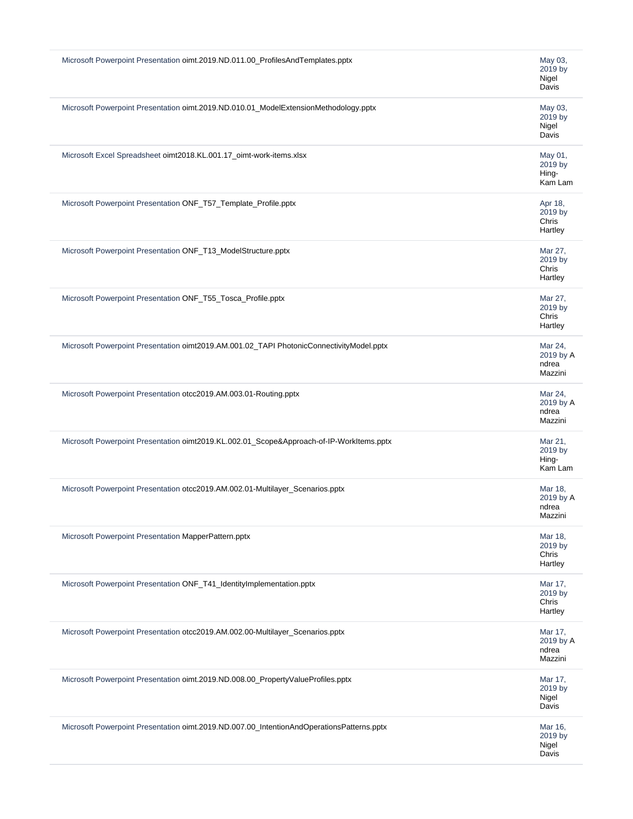| Microsoft Powerpoint Presentation oimt.2019.ND.011.00_ProfilesAndTemplates.pptx           | May 03,<br>2019 by<br>Nigel<br>Davis     |
|-------------------------------------------------------------------------------------------|------------------------------------------|
| Microsoft Powerpoint Presentation oimt.2019.ND.010.01_ModelExtensionMethodology.pptx      | May 03,<br>2019 by<br>Nigel<br>Davis     |
| Microsoft Excel Spreadsheet oimt2018.KL.001.17_oimt-work-items.xlsx                       | May 01,<br>2019 by<br>Hing-<br>Kam Lam   |
| Microsoft Powerpoint Presentation ONF_T57_Template_Profile.pptx                           | Apr 18,<br>2019 by<br>Chris<br>Hartley   |
| Microsoft Powerpoint Presentation ONF_T13_ModelStructure.pptx                             | Mar 27,<br>2019 by<br>Chris<br>Hartley   |
| Microsoft Powerpoint Presentation ONF_T55_Tosca_Profile.pptx                              | Mar 27,<br>2019 by<br>Chris<br>Hartley   |
| Microsoft Powerpoint Presentation oimt2019.AM.001.02_TAPI PhotonicConnectivityModel.pptx  | Mar 24,<br>2019 by A<br>ndrea<br>Mazzini |
| Microsoft Powerpoint Presentation otcc2019.AM.003.01-Routing.pptx                         | Mar 24,<br>2019 by A<br>ndrea<br>Mazzini |
| Microsoft Powerpoint Presentation oimt2019.KL.002.01_Scope&Approach-of-IP-WorkItems.pptx  | Mar 21,<br>2019 by<br>Hing-<br>Kam Lam   |
| Microsoft Powerpoint Presentation otcc2019.AM.002.01-Multilayer_Scenarios.pptx            | Mar 18,<br>2019 by A<br>ndrea<br>Mazzini |
| Microsoft Powerpoint Presentation MapperPattern.pptx                                      | Mar 18,<br>2019 by<br>Chris<br>Hartley   |
| Microsoft Powerpoint Presentation ONF_T41_IdentityImplementation.pptx                     | Mar 17,<br>2019 by<br>Chris<br>Hartley   |
| Microsoft Powerpoint Presentation otcc2019.AM.002.00-Multilayer_Scenarios.pptx            | Mar 17,<br>2019 by A<br>ndrea<br>Mazzini |
| Microsoft Powerpoint Presentation oimt.2019.ND.008.00_PropertyValueProfiles.pptx          | Mar 17,<br>2019 by<br>Nigel<br>Davis     |
| Microsoft Powerpoint Presentation oimt.2019.ND.007.00_IntentionAndOperationsPatterns.pptx | Mar 16,<br>2019 by<br>Nigel<br>Davis     |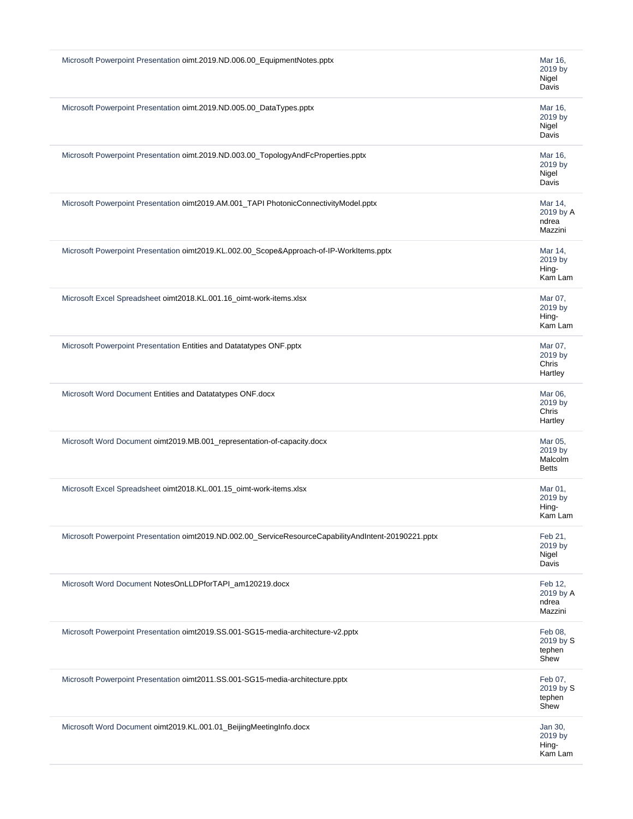| Microsoft Powerpoint Presentation oimt.2019.ND.006.00_EquipmentNotes.pptx                             | Mar 16,<br>2019 by<br>Nigel<br>Davis          |
|-------------------------------------------------------------------------------------------------------|-----------------------------------------------|
| Microsoft Powerpoint Presentation oimt.2019.ND.005.00_DataTypes.pptx                                  | Mar 16,<br>2019 by<br>Nigel<br>Davis          |
| Microsoft Powerpoint Presentation oimt.2019.ND.003.00_TopologyAndFcProperties.pptx                    | Mar 16,<br>2019 by<br>Nigel<br>Davis          |
| Microsoft Powerpoint Presentation oimt2019.AM.001_TAPI PhotonicConnectivityModel.pptx                 | Mar 14,<br>2019 by A<br>ndrea<br>Mazzini      |
| Microsoft Powerpoint Presentation oimt2019.KL.002.00_Scope&Approach-of-IP-WorkItems.pptx              | Mar 14,<br>2019 by<br>Hing-<br>Kam Lam        |
| Microsoft Excel Spreadsheet oimt2018.KL.001.16_oimt-work-items.xlsx                                   | Mar 07,<br>2019 by<br>Hing-<br>Kam Lam        |
| Microsoft Powerpoint Presentation Entities and Datatatypes ONF.pptx                                   | Mar 07,<br>2019 by<br>Chris<br>Hartley        |
| Microsoft Word Document Entities and Datatatypes ONF.docx                                             | Mar 06,<br>2019 by<br>Chris<br>Hartley        |
| Microsoft Word Document oimt2019.MB.001_representation-of-capacity.docx                               | Mar 05,<br>2019 by<br>Malcolm<br><b>Betts</b> |
| Microsoft Excel Spreadsheet oimt2018.KL.001.15_oimt-work-items.xlsx                                   | Mar 01,<br>2019 by<br>Hing-<br>Kam Lam        |
| Microsoft Powerpoint Presentation oimt2019.ND.002.00_ServiceResourceCapabilityAndIntent-20190221.pptx | Feb 21,<br>2019 by<br>Nigel<br>Davis          |
| Microsoft Word Document NotesOnLLDPforTAPI am120219.docx                                              | Feb 12,<br>2019 by A<br>ndrea<br>Mazzini      |
| Microsoft Powerpoint Presentation oimt2019.SS.001-SG15-media-architecture-v2.pptx                     | Feb 08,<br>2019 by S<br>tephen<br>Shew        |
| Microsoft Powerpoint Presentation oimt2011.SS.001-SG15-media-architecture.pptx                        | Feb 07,<br>2019 by S<br>tephen<br>Shew        |
| Microsoft Word Document oimt2019.KL.001.01_BeijingMeetingInfo.docx                                    | Jan 30,<br>2019 by<br>Hing-<br>Kam Lam        |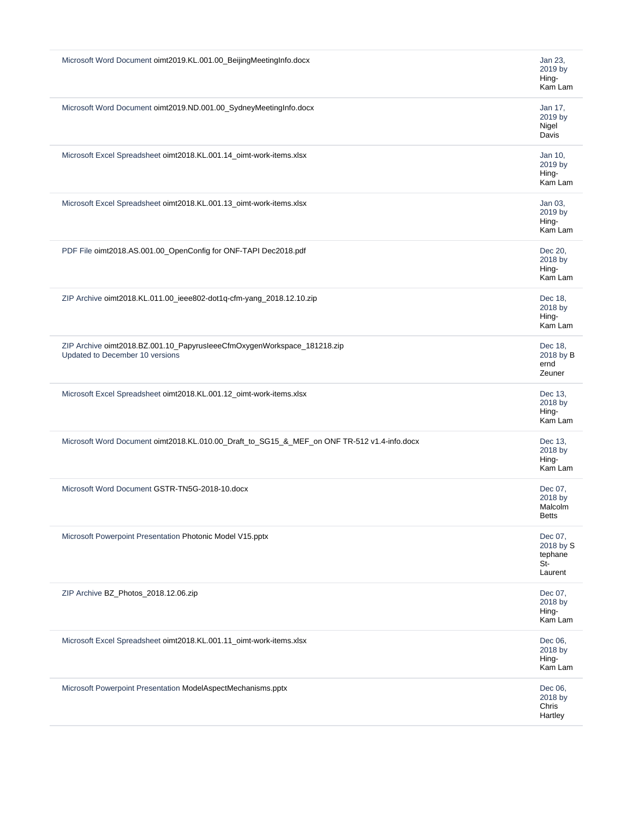| Microsoft Word Document oimt2019.KL.001.00_BeijingMeetingInfo.docx                                         | Jan 23,<br>2019 by<br>Hing-<br>Kam Lam            |
|------------------------------------------------------------------------------------------------------------|---------------------------------------------------|
| Microsoft Word Document oimt2019.ND.001.00_SydneyMeetingInfo.docx                                          | Jan 17,<br>2019 by<br>Nigel<br>Davis              |
| Microsoft Excel Spreadsheet oimt2018.KL.001.14_oimt-work-items.xlsx                                        | Jan 10,<br>2019 by<br>Hing-<br>Kam Lam            |
| Microsoft Excel Spreadsheet oimt2018.KL.001.13_oimt-work-items.xlsx                                        | Jan 03,<br>2019 by<br>Hing-<br>Kam Lam            |
| PDF File oimt2018.AS.001.00_OpenConfig for ONF-TAPI Dec2018.pdf                                            | Dec 20,<br>2018 by<br>Hing-<br>Kam Lam            |
| ZIP Archive oimt2018.KL.011.00_ieee802-dot1q-cfm-yang_2018.12.10.zip                                       | Dec 18,<br>2018 by<br>Hing-<br>Kam Lam            |
| ZIP Archive oimt2018.BZ.001.10_PapyrusleeeCfmOxygenWorkspace_181218.zip<br>Updated to December 10 versions | Dec 18,<br>2018 by B<br>ernd<br>Zeuner            |
| Microsoft Excel Spreadsheet oimt2018.KL.001.12_oimt-work-items.xlsx                                        | Dec 13,<br>2018 by<br>Hing-<br>Kam Lam            |
| Microsoft Word Document oimt2018.KL.010.00_Draft_to_SG15_&_MEF_on ONF TR-512 v1.4-info.docx                | Dec 13,<br>2018 by<br>Hing-<br>Kam Lam            |
| Microsoft Word Document GSTR-TN5G-2018-10.docx                                                             | Dec 07,<br>2018 by<br>Malcolm<br><b>Betts</b>     |
| Microsoft Powerpoint Presentation Photonic Model V15.pptx                                                  | Dec 07,<br>2018 by S<br>tephane<br>St-<br>Laurent |
| ZIP Archive BZ_Photos_2018.12.06.zip                                                                       | Dec 07,<br>2018 by<br>Hing-<br>Kam Lam            |
| Microsoft Excel Spreadsheet oimt2018.KL.001.11_oimt-work-items.xlsx                                        | Dec 06,<br>2018 by<br>Hing-<br>Kam Lam            |
| Microsoft Powerpoint Presentation ModelAspectMechanisms.pptx                                               | Dec 06,<br>2018 by<br>Chris<br>Hartley            |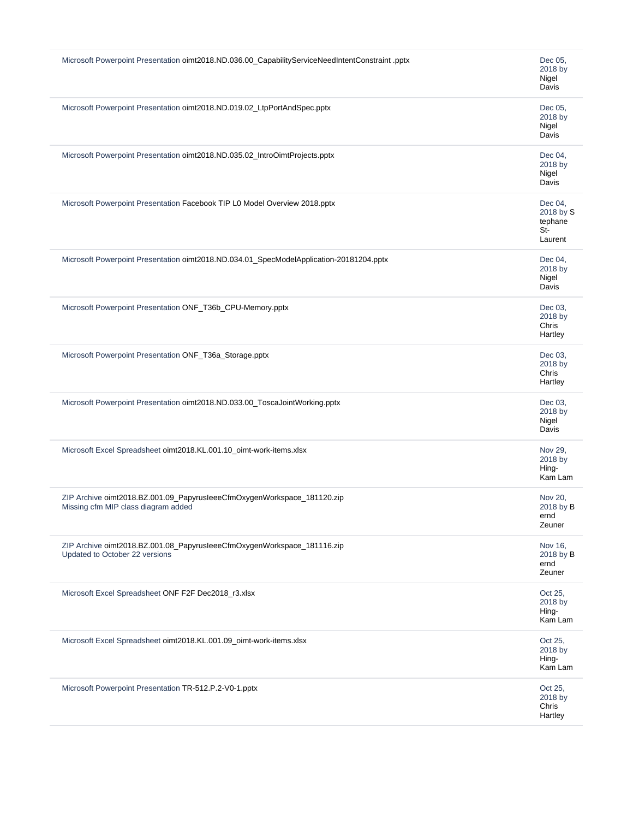| Microsoft Powerpoint Presentation oimt2018.ND.036.00_CapabilityServiceNeedIntentConstraint .pptx               | Dec 05,<br>2018 by<br>Nigel<br>Davis                |
|----------------------------------------------------------------------------------------------------------------|-----------------------------------------------------|
| Microsoft Powerpoint Presentation oimt2018.ND.019.02_LtpPortAndSpec.pptx                                       | Dec 05,<br>2018 by<br>Nigel<br>Davis                |
| Microsoft Powerpoint Presentation oimt2018.ND.035.02_IntroOimtProjects.pptx                                    | Dec 04,<br>2018 by<br>Nigel<br>Davis                |
| Microsoft Powerpoint Presentation Facebook TIP L0 Model Overview 2018.pptx                                     | Dec 04,<br>2018 by S<br>tephane<br>$St-$<br>Laurent |
| Microsoft Powerpoint Presentation oimt2018.ND.034.01_SpecModelApplication-20181204.pptx                        | Dec 04,<br>2018 by<br>Nigel<br>Davis                |
| Microsoft Powerpoint Presentation ONF_T36b_CPU-Memory.pptx                                                     | Dec 03,<br>2018 by<br>Chris<br>Hartley              |
| Microsoft Powerpoint Presentation ONF_T36a_Storage.pptx                                                        | Dec 03,<br>2018 by<br>Chris<br>Hartley              |
| Microsoft Powerpoint Presentation oimt2018.ND.033.00_ToscaJointWorking.pptx                                    | Dec 03,<br>2018 by<br>Nigel<br>Davis                |
| Microsoft Excel Spreadsheet oimt2018.KL.001.10_oimt-work-items.xlsx                                            | Nov 29,<br>2018 by<br>Hing-<br>Kam Lam              |
| ZIP Archive oimt2018.BZ.001.09_PapyrusleeeCfmOxygenWorkspace_181120.zip<br>Missing cfm MIP class diagram added | Nov 20,<br>2018 by B<br>ernd<br>Zeuner              |
| ZIP Archive oimt2018.BZ.001.08_PapyrusleeeCfmOxygenWorkspace_181116.zip<br>Updated to October 22 versions      | Nov 16,<br>2018 by B<br>ernd<br>Zeuner              |
| Microsoft Excel Spreadsheet ONF F2F Dec2018_r3.xlsx                                                            | Oct 25,<br>2018 by<br>Hing-<br>Kam Lam              |
| Microsoft Excel Spreadsheet oimt2018.KL.001.09_oimt-work-items.xlsx                                            | Oct 25,<br>2018 by<br>Hing-<br>Kam Lam              |
| Microsoft Powerpoint Presentation TR-512.P.2-V0-1.pptx                                                         | Oct 25,<br>2018 by<br>Chris<br>Hartley              |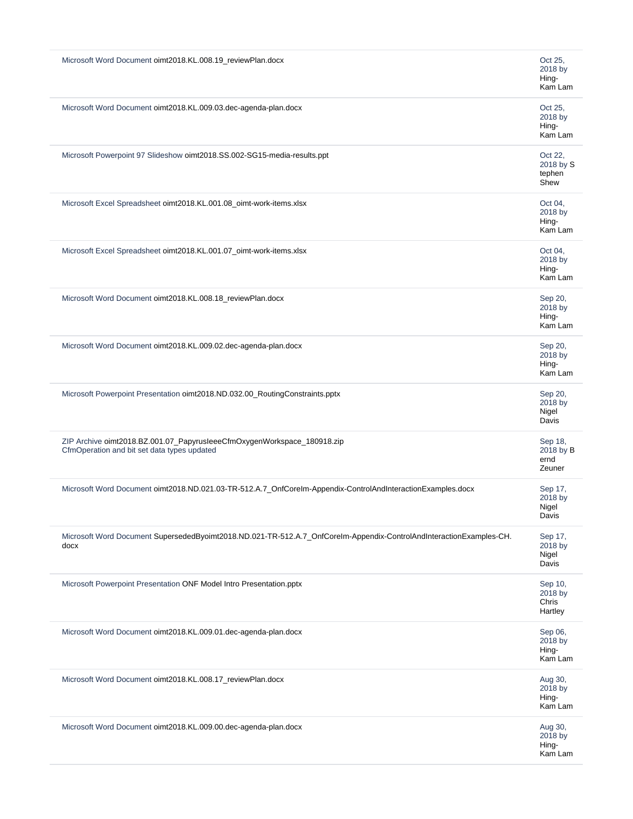| Microsoft Word Document oimt2018.KL.008.19_reviewPlan.docx                                                                  | Oct 25,<br>2018 by<br>Hing-<br>Kam Lam |
|-----------------------------------------------------------------------------------------------------------------------------|----------------------------------------|
| Microsoft Word Document oimt2018.KL.009.03.dec-agenda-plan.docx                                                             | Oct 25,<br>2018 by<br>Hing-<br>Kam Lam |
| Microsoft Powerpoint 97 Slideshow oimt2018.SS.002-SG15-media-results.ppt                                                    | Oct 22,<br>2018 by S<br>tephen<br>Shew |
| Microsoft Excel Spreadsheet oimt2018.KL.001.08_oimt-work-items.xlsx                                                         | Oct 04,<br>2018 by<br>Hing-<br>Kam Lam |
| Microsoft Excel Spreadsheet oimt2018.KL.001.07_oimt-work-items.xlsx                                                         | Oct 04,<br>2018 by<br>Hing-<br>Kam Lam |
| Microsoft Word Document oimt2018.KL.008.18_reviewPlan.docx                                                                  | Sep 20,<br>2018 by<br>Hing-<br>Kam Lam |
| Microsoft Word Document oimt2018.KL.009.02.dec-agenda-plan.docx                                                             | Sep 20,<br>2018 by<br>Hing-<br>Kam Lam |
| Microsoft Powerpoint Presentation oimt2018.ND.032.00_RoutingConstraints.pptx                                                | Sep 20,<br>2018 by<br>Nigel<br>Davis   |
| ZIP Archive oimt2018.BZ.001.07_PapyrusleeeCfmOxygenWorkspace_180918.zip<br>CfmOperation and bit set data types updated      | Sep 18,<br>2018 by B<br>ernd<br>Zeuner |
| Microsoft Word Document oimt2018.ND.021.03-TR-512.A.7_OnfCoreIm-Appendix-ControlAndInteractionExamples.docx                 | Sep 17,<br>2018 by<br>Nigel<br>Davis   |
| Microsoft Word Document SupersededByoimt2018.ND.021-TR-512.A.7_OnfCoreIm-Appendix-ControlAndInteractionExamples-CH.<br>docx | Sep 17,<br>2018 by<br>Nigel<br>Davis   |
| Microsoft Powerpoint Presentation ONF Model Intro Presentation.pptx                                                         | Sep 10,<br>2018 by<br>Chris<br>Hartley |
| Microsoft Word Document oimt2018.KL.009.01.dec-agenda-plan.docx                                                             | Sep 06,<br>2018 by<br>Hing-<br>Kam Lam |
| Microsoft Word Document oimt2018.KL.008.17_reviewPlan.docx                                                                  | Aug 30,<br>2018 by<br>Hing-<br>Kam Lam |
| Microsoft Word Document oimt2018.KL.009.00.dec-agenda-plan.docx                                                             | Aug 30,<br>2018 by<br>Hing-<br>Kam Lam |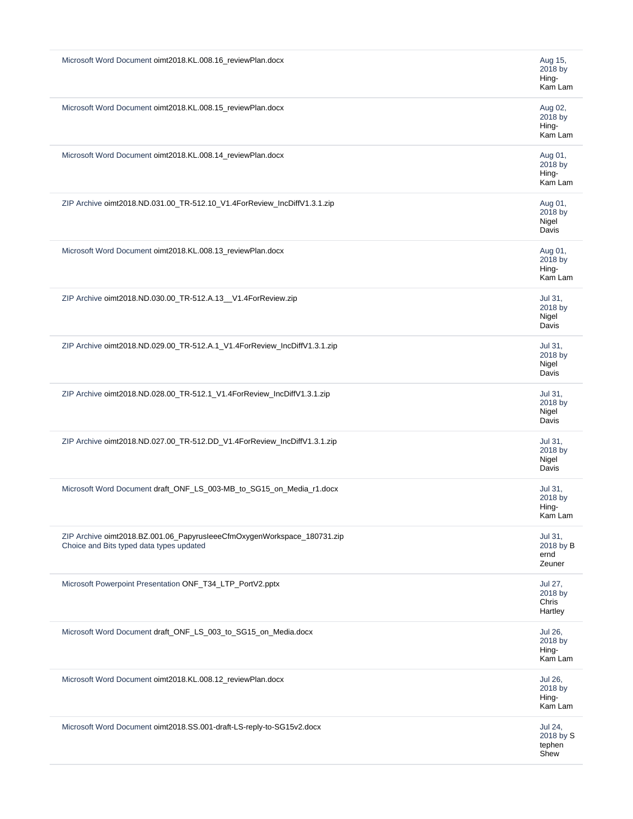| Microsoft Word Document oimt2018.KL.008.16_reviewPlan.docx<br>Microsoft Word Document oimt2018.KL.008.15_reviewPlan.docx<br>Microsoft Word Document oimt2018.KL.008.14_reviewPlan.docx<br>ZIP Archive oimt2018.ND.031.00_TR-512.10_V1.4ForReview_IncDiffV1.3.1.zip | Aug 15,<br>2018 by<br>Hing-<br>Kam Lam<br>Aug 02,<br>2018 by<br>Hing-<br>Kam Lam<br>Aug 01,<br>2018 by<br>Hing-<br>Kam Lam |
|--------------------------------------------------------------------------------------------------------------------------------------------------------------------------------------------------------------------------------------------------------------------|----------------------------------------------------------------------------------------------------------------------------|
|                                                                                                                                                                                                                                                                    |                                                                                                                            |
|                                                                                                                                                                                                                                                                    |                                                                                                                            |
|                                                                                                                                                                                                                                                                    |                                                                                                                            |
|                                                                                                                                                                                                                                                                    | Aug 01,<br>2018 by<br>Nigel<br>Davis                                                                                       |
| Microsoft Word Document oimt2018.KL.008.13_reviewPlan.docx                                                                                                                                                                                                         | Aug 01,<br>2018 by<br>Hing-<br>Kam Lam                                                                                     |
| ZIP Archive oimt2018.ND.030.00_TR-512.A.13__V1.4ForReview.zip                                                                                                                                                                                                      | Jul 31,<br>2018 by<br>Nigel<br>Davis                                                                                       |
| ZIP Archive oimt2018.ND.029.00_TR-512.A.1_V1.4ForReview_IncDiffV1.3.1.zip                                                                                                                                                                                          | Jul 31,<br>2018 by<br>Nigel<br>Davis                                                                                       |
| ZIP Archive oimt2018.ND.028.00_TR-512.1_V1.4ForReview_IncDiffV1.3.1.zip                                                                                                                                                                                            | Jul 31,<br>2018 by<br>Nigel<br>Davis                                                                                       |
| ZIP Archive oimt2018.ND.027.00_TR-512.DD_V1.4ForReview_IncDiffV1.3.1.zip                                                                                                                                                                                           | Jul 31,<br>2018 by<br>Nigel<br>Davis                                                                                       |
| Microsoft Word Document draft_ONF_LS_003-MB_to_SG15_on_Media_r1.docx                                                                                                                                                                                               | Jul 31,<br>2018 by<br>Hing-<br>Kam Lam                                                                                     |
| ZIP Archive oimt2018.BZ.001.06_PapyrusleeeCfmOxygenWorkspace_180731.zip<br>Choice and Bits typed data types updated                                                                                                                                                | Jul 31,<br>2018 by B<br>ernd<br>Zeuner                                                                                     |
| Microsoft Powerpoint Presentation ONF_T34_LTP_PortV2.pptx                                                                                                                                                                                                          | Jul 27,<br>2018 by<br>Chris                                                                                                |
|                                                                                                                                                                                                                                                                    | Hartley                                                                                                                    |
| Microsoft Word Document draft_ONF_LS_003_to_SG15_on_Media.docx                                                                                                                                                                                                     | Jul 26,<br>2018 by<br>Hing-<br>Kam Lam                                                                                     |
| Microsoft Word Document oimt2018.KL.008.12_reviewPlan.docx                                                                                                                                                                                                         | Jul 26,<br>2018 by<br>Hing-<br>Kam Lam                                                                                     |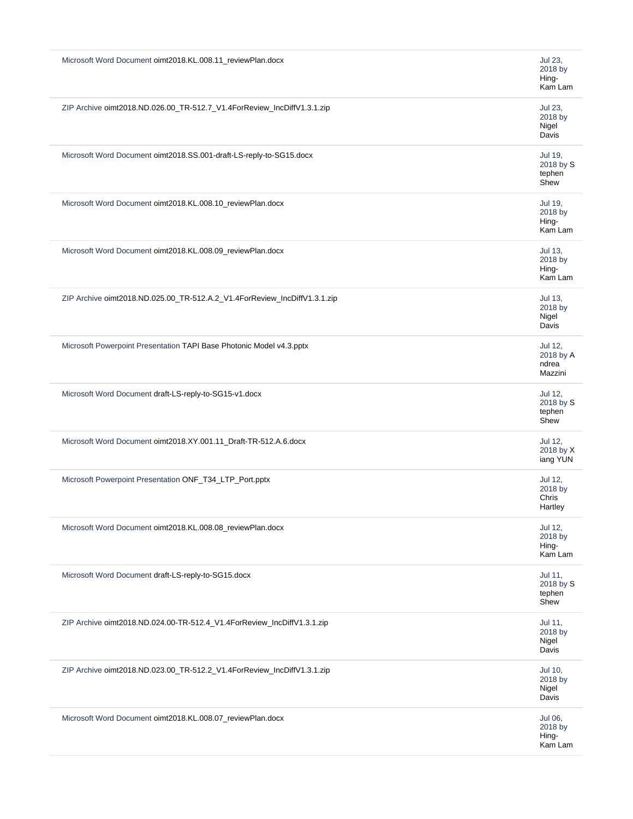| Microsoft Word Document oimt2018.KL.008.11_reviewPlan.docx                | Jul 23,<br>2018 by<br>Hing-<br>Kam Lam        |
|---------------------------------------------------------------------------|-----------------------------------------------|
| ZIP Archive oimt2018.ND.026.00_TR-512.7_V1.4ForReview_IncDiffV1.3.1.zip   | Jul 23,<br>2018 by<br>Nigel<br>Davis          |
| Microsoft Word Document oimt2018.SS.001-draft-LS-reply-to-SG15.docx       | Jul 19,<br>2018 by S<br>tephen<br>Shew        |
| Microsoft Word Document oimt2018.KL.008.10_reviewPlan.docx                | Jul 19,<br>2018 by<br>Hing-<br>Kam Lam        |
| Microsoft Word Document oimt2018.KL.008.09_reviewPlan.docx                | <b>Jul 13,</b><br>2018 by<br>Hing-<br>Kam Lam |
| ZIP Archive oimt2018.ND.025.00_TR-512.A.2_V1.4ForReview_IncDiffV1.3.1.zip | Jul 13,<br>2018 by<br>Nigel<br>Davis          |
| Microsoft Powerpoint Presentation TAPI Base Photonic Model v4.3.pptx      | Jul 12,<br>2018 by A<br>ndrea<br>Mazzini      |
| Microsoft Word Document draft-LS-reply-to-SG15-v1.docx                    | Jul 12,<br>2018 by S<br>tephen<br>Shew        |
| Microsoft Word Document oimt2018.XY.001.11_Draft-TR-512.A.6.docx          | Jul 12,<br>2018 by X<br>iang YUN              |
| Microsoft Powerpoint Presentation ONF_T34_LTP_Port.pptx                   | Jul 12,<br>2018 by<br>Chris<br>Hartley        |
| Microsoft Word Document oimt2018.KL.008.08_reviewPlan.docx                | Jul 12,<br>2018 by<br>Hing-<br>Kam Lam        |
| Microsoft Word Document draft-LS-reply-to-SG15.docx                       | Jul 11,<br>2018 by S<br>tephen<br>Shew        |
| ZIP Archive oimt2018.ND.024.00-TR-512.4_V1.4ForReview_IncDiffV1.3.1.zip   | Jul 11,<br>2018 by<br>Nigel<br>Davis          |
| ZIP Archive oimt2018.ND.023.00_TR-512.2_V1.4ForReview_IncDiffV1.3.1.zip   | Jul 10,<br>2018 by<br>Nigel<br>Davis          |
| Microsoft Word Document oimt2018.KL.008.07_reviewPlan.docx                | Jul 06,<br>2018 by<br>Hing-<br>Kam Lam        |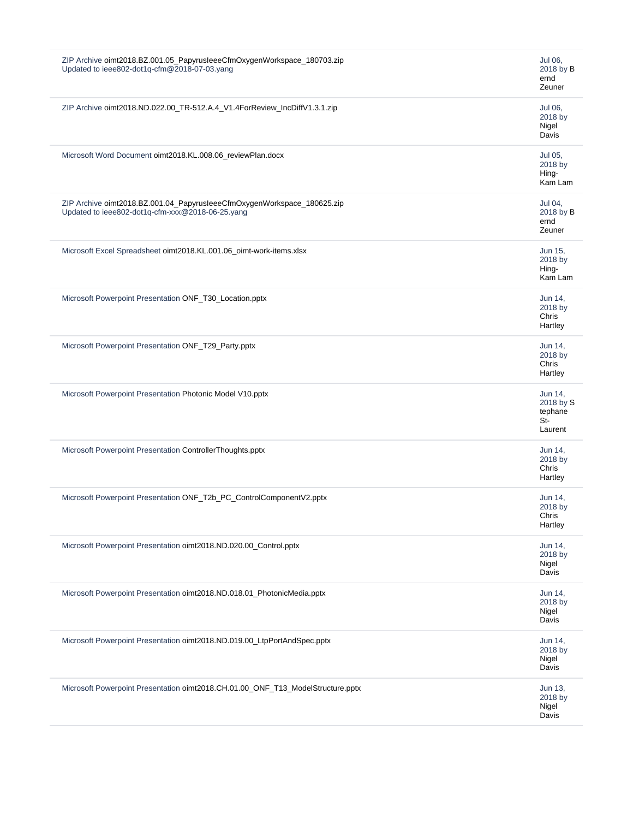| ZIP Archive oimt2018.BZ.001.05_PapyrusleeeCfmOxygenWorkspace_180703.zip<br>Updated to ieee802-dot1q-cfm@2018-07-03.yang     | Jul 06,<br>2018 by B<br>ernd<br>Zeuner              |
|-----------------------------------------------------------------------------------------------------------------------------|-----------------------------------------------------|
| ZIP Archive oimt2018.ND.022.00_TR-512.A.4_V1.4ForReview_IncDiffV1.3.1.zip                                                   | Jul 06,<br>2018 by<br>Nigel<br>Davis                |
| Microsoft Word Document oimt2018.KL.008.06_reviewPlan.docx                                                                  | Jul 05,<br>2018 by<br>Hing-<br>Kam Lam              |
| ZIP Archive oimt2018.BZ.001.04_PapyrusleeeCfmOxygenWorkspace_180625.zip<br>Updated to ieee802-dot1q-cfm-xxx@2018-06-25.yang | Jul 04,<br>2018 by B<br>ernd<br>Zeuner              |
| Microsoft Excel Spreadsheet oimt2018.KL.001.06_oimt-work-items.xlsx                                                         | Jun 15,<br>2018 by<br>Hing-<br>Kam Lam              |
| Microsoft Powerpoint Presentation ONF_T30_Location.pptx                                                                     | Jun 14,<br>2018 by<br>Chris<br>Hartley              |
| Microsoft Powerpoint Presentation ONF_T29_Party.pptx                                                                        | Jun 14,<br>2018 by<br>Chris<br>Hartley              |
| Microsoft Powerpoint Presentation Photonic Model V10.pptx                                                                   | Jun 14,<br>2018 by S<br>tephane<br>$St-$<br>Laurent |
| Microsoft Powerpoint Presentation ControllerThoughts.pptx                                                                   | Jun 14.<br>2018 by<br>Chris<br>Hartley              |
| Microsoft Powerpoint Presentation ONF_T2b_PC_ControlComponentV2.pptx                                                        | Jun 14,<br>2018 by<br>Chris<br>Hartley              |
| Microsoft Powerpoint Presentation oimt2018.ND.020.00_Control.pptx                                                           | Jun 14,<br>2018 by<br>Nigel<br>Davis                |
| Microsoft Powerpoint Presentation oimt2018.ND.018.01_PhotonicMedia.pptx                                                     | Jun 14,<br>2018 by<br>Nigel<br>Davis                |
| Microsoft Powerpoint Presentation oimt2018.ND.019.00_LtpPortAndSpec.pptx                                                    | Jun 14,<br>2018 by<br>Nigel<br>Davis                |
| Microsoft Powerpoint Presentation oimt2018.CH.01.00_ONF_T13_ModelStructure.pptx                                             | Jun 13,<br>2018 by<br>Nigel<br>Davis                |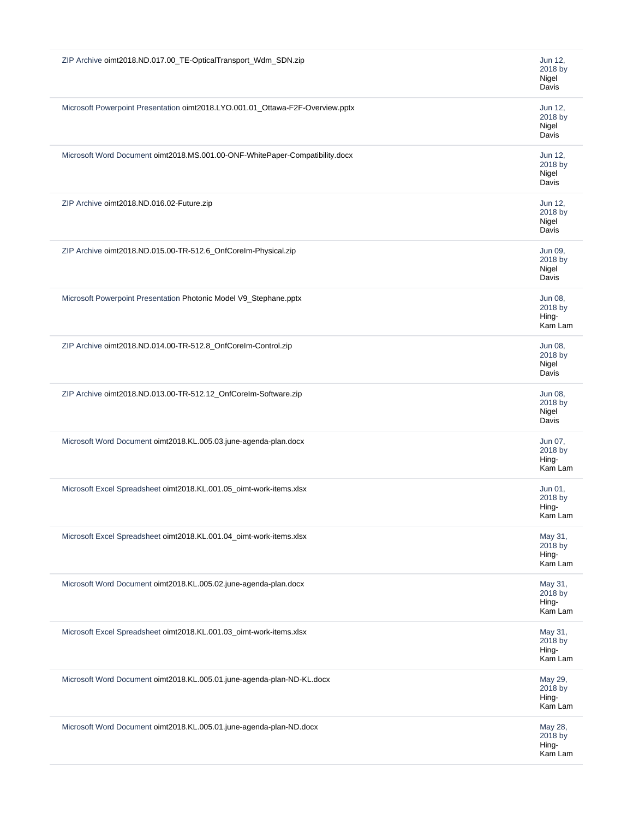| ZIP Archive oimt2018.ND.017.00_TE-OpticalTransport_Wdm_SDN.zip                 | Jun 12,<br>2018 by<br>Nigel<br>Davis   |
|--------------------------------------------------------------------------------|----------------------------------------|
| Microsoft Powerpoint Presentation oimt2018.LYO.001.01_Ottawa-F2F-Overview.pptx | Jun 12,<br>2018 by<br>Nigel<br>Davis   |
| Microsoft Word Document oimt2018.MS.001.00-ONF-WhitePaper-Compatibility.docx   | Jun 12,<br>2018 by<br>Nigel<br>Davis   |
| ZIP Archive oimt2018.ND.016.02-Future.zip                                      | Jun 12,<br>2018 by<br>Nigel<br>Davis   |
| ZIP Archive oimt2018.ND.015.00-TR-512.6_OnfCoreIm-Physical.zip                 | Jun 09,<br>2018 by<br>Nigel<br>Davis   |
| Microsoft Powerpoint Presentation Photonic Model V9_Stephane.pptx              | Jun 08,<br>2018 by<br>Hing-<br>Kam Lam |
| ZIP Archive oimt2018.ND.014.00-TR-512.8_OnfCoreIm-Control.zip                  | Jun 08,<br>2018 by<br>Nigel<br>Davis   |
| ZIP Archive oimt2018.ND.013.00-TR-512.12_OnfCoreIm-Software.zip                | Jun 08,<br>2018 by<br>Nigel<br>Davis   |
| Microsoft Word Document oimt2018.KL.005.03.june-agenda-plan.docx               | Jun 07,<br>2018 by<br>Hing-<br>Kam Lam |
| Microsoft Excel Spreadsheet oimt2018.KL.001.05_oimt-work-items.xlsx            | Jun 01,<br>2018 by<br>Hing-<br>Kam Lam |
| Microsoft Excel Spreadsheet oimt2018.KL.001.04_oimt-work-items.xlsx            | May 31,<br>2018 by<br>Hing-<br>Kam Lam |
| Microsoft Word Document oimt2018.KL.005.02.june-agenda-plan.docx               | May 31,<br>2018 by<br>Hing-<br>Kam Lam |
| Microsoft Excel Spreadsheet oimt2018.KL.001.03_oimt-work-items.xlsx            | May 31,<br>2018 by<br>Hing-<br>Kam Lam |
| Microsoft Word Document oimt2018.KL.005.01.june-agenda-plan-ND-KL.docx         | May 29,<br>2018 by<br>Hing-<br>Kam Lam |
| Microsoft Word Document oimt2018.KL.005.01.june-agenda-plan-ND.docx            | May 28,<br>2018 by<br>Hing-<br>Kam Lam |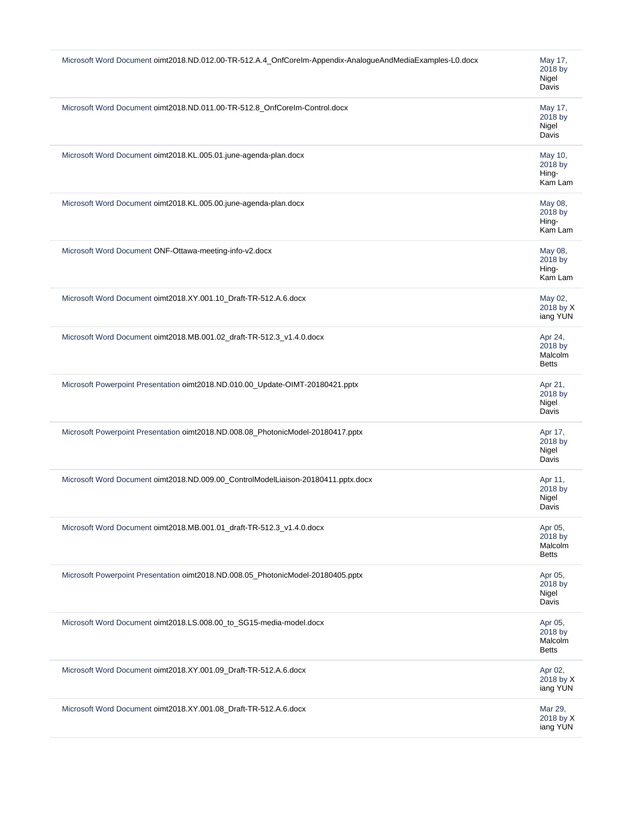| Microsoft Word Document oimt2018.ND.012.00-TR-512.A.4_OnfCoreIm-Appendix-AnalogueAndMediaExamples-L0.docx | May 17,<br>2018 by<br>Nigel<br>Davis          |
|-----------------------------------------------------------------------------------------------------------|-----------------------------------------------|
| Microsoft Word Document oimt2018.ND.011.00-TR-512.8_OnfCoreIm-Control.docx                                | May 17,<br>2018 by<br>Nigel<br>Davis          |
| Microsoft Word Document oimt2018.KL.005.01.june-agenda-plan.docx                                          | May 10,<br>2018 by<br>Hing-<br>Kam Lam        |
| Microsoft Word Document oimt2018.KL.005.00.june-agenda-plan.docx                                          | May 08,<br>2018 by<br>Hing-<br>Kam Lam        |
| Microsoft Word Document ONF-Ottawa-meeting-info-v2.docx                                                   | May 08,<br>2018 by<br>Hing-<br>Kam Lam        |
| Microsoft Word Document oimt2018.XY.001.10_Draft-TR-512.A.6.docx                                          | May 02,<br>2018 by X<br>iang YUN              |
| Microsoft Word Document oimt2018.MB.001.02_draft-TR-512.3_v1.4.0.docx                                     | Apr 24,<br>2018 by<br>Malcolm<br><b>Betts</b> |
| Microsoft Powerpoint Presentation oimt2018.ND.010.00_Update-OIMT-20180421.pptx                            | Apr 21,<br>2018 by<br>Nigel<br>Davis          |
| Microsoft Powerpoint Presentation oimt2018.ND.008.08_PhotonicModel-20180417.pptx                          | Apr 17,<br>2018 by<br>Nigel<br>Davis          |
| Microsoft Word Document oimt2018.ND.009.00_ControlModelLiaison-20180411.pptx.docx                         | Apr 11,<br>2018 by<br>Nigel<br>Davis          |
| Microsoft Word Document oimt2018.MB.001.01_draft-TR-512.3_v1.4.0.docx                                     | Apr 05,<br>2018 by<br>Malcolm<br><b>Betts</b> |
| Microsoft Powerpoint Presentation oimt2018.ND.008.05_PhotonicModel-20180405.pptx                          | Apr 05,<br>2018 by<br>Nigel<br>Davis          |
| Microsoft Word Document oimt2018.LS.008.00_to_SG15-media-model.docx                                       | Apr 05,<br>2018 by<br>Malcolm<br><b>Betts</b> |
| Microsoft Word Document oimt2018.XY.001.09_Draft-TR-512.A.6.docx                                          | Apr 02,<br>2018 by X<br>iang YUN              |
| Microsoft Word Document oimt2018.XY.001.08_Draft-TR-512.A.6.docx                                          | Mar 29,<br>2018 by X<br>iang YUN              |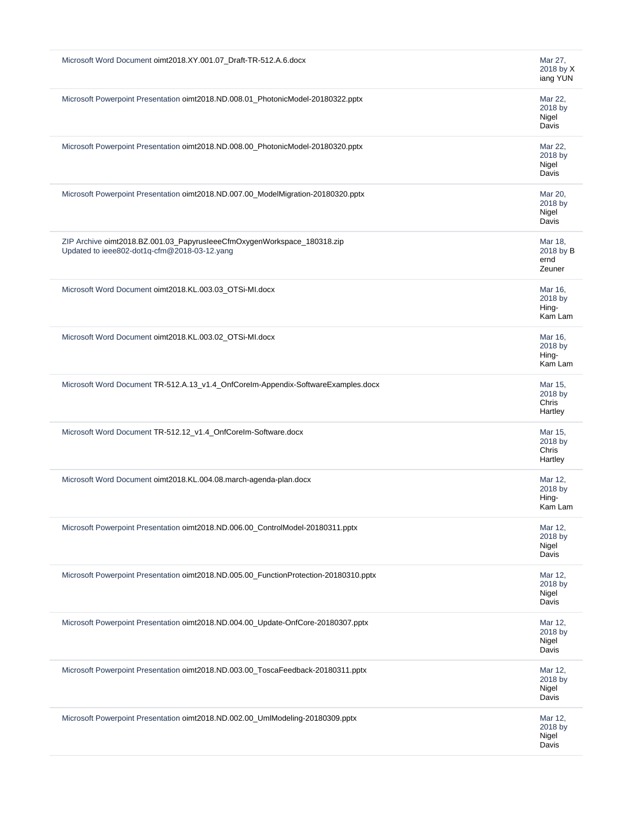| Microsoft Word Document oimt2018.XY.001.07_Draft-TR-512.A.6.docx                                                        | Mar 27,<br>2018 by X<br>iang YUN       |
|-------------------------------------------------------------------------------------------------------------------------|----------------------------------------|
| Microsoft Powerpoint Presentation oimt2018.ND.008.01_PhotonicModel-20180322.pptx                                        | Mar 22,<br>2018 by<br>Nigel<br>Davis   |
| Microsoft Powerpoint Presentation oimt2018.ND.008.00_PhotonicModel-20180320.pptx                                        | Mar 22,<br>2018 by<br>Nigel<br>Davis   |
| Microsoft Powerpoint Presentation oimt2018.ND.007.00_ModelMigration-20180320.pptx                                       | Mar 20,<br>2018 by<br>Nigel<br>Davis   |
| ZIP Archive oimt2018.BZ.001.03_PapyrusleeeCfmOxygenWorkspace_180318.zip<br>Updated to ieee802-dot1q-cfm@2018-03-12.yang | Mar 18,<br>2018 by B<br>ernd<br>Zeuner |
| Microsoft Word Document oimt2018.KL.003.03_OTSi-MI.docx                                                                 | Mar 16,<br>2018 by<br>Hing-<br>Kam Lam |
| Microsoft Word Document oimt2018.KL.003.02_OTSi-MI.docx                                                                 | Mar 16,<br>2018 by<br>Hing-<br>Kam Lam |
| Microsoft Word Document TR-512.A.13_v1.4_OnfCoreIm-Appendix-SoftwareExamples.docx                                       | Mar 15,<br>2018 by<br>Chris<br>Hartley |
| Microsoft Word Document TR-512.12_v1.4_OnfCoreIm-Software.docx                                                          | Mar 15,<br>2018 by<br>Chris<br>Hartley |
| Microsoft Word Document oimt2018.KL.004.08.march-agenda-plan.docx                                                       | Mar 12,<br>2018 by<br>Hing-<br>Kam Lam |
| Microsoft Powerpoint Presentation oimt2018.ND.006.00_ControlModel-20180311.pptx                                         | Mar 12,<br>2018 by<br>Nigel<br>Davis   |
| Microsoft Powerpoint Presentation oimt2018.ND.005.00_FunctionProtection-20180310.pptx                                   | Mar 12,<br>2018 by<br>Nigel<br>Davis   |
| Microsoft Powerpoint Presentation oimt2018.ND.004.00_Update-OnfCore-20180307.pptx                                       | Mar 12,<br>2018 by<br>Nigel<br>Davis   |
| Microsoft Powerpoint Presentation oimt2018.ND.003.00_ToscaFeedback-20180311.pptx                                        | Mar 12,<br>2018 by<br>Nigel<br>Davis   |
| Microsoft Powerpoint Presentation oimt2018.ND.002.00_UmlModeling-20180309.pptx                                          | Mar 12,<br>2018 by<br>Nigel<br>Davis   |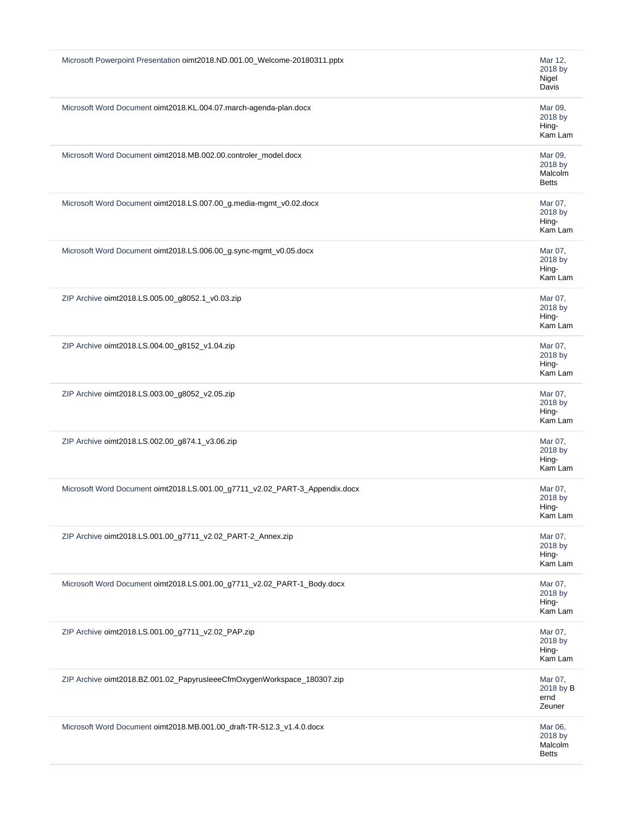| Microsoft Powerpoint Presentation oimt2018.ND.001.00_Welcome-20180311.pptx  | Mar 12,<br>2018 by<br>Nigel<br>Davis          |
|-----------------------------------------------------------------------------|-----------------------------------------------|
| Microsoft Word Document oimt2018.KL.004.07.march-agenda-plan.docx           | Mar 09,<br>2018 by<br>Hing-<br>Kam Lam        |
| Microsoft Word Document oimt2018.MB.002.00.controler_model.docx             | Mar 09,<br>2018 by<br>Malcolm<br><b>Betts</b> |
| Microsoft Word Document oimt2018.LS.007.00_g.media-mgmt_v0.02.docx          | Mar 07,<br>2018 by<br>Hing-<br>Kam Lam        |
| Microsoft Word Document oimt2018.LS.006.00_g.sync-mgmt_v0.05.docx           | Mar 07,<br>2018 by<br>Hing-<br>Kam Lam        |
| ZIP Archive oimt2018.LS.005.00_g8052.1_v0.03.zip                            | Mar 07,<br>2018 by<br>Hing-<br>Kam Lam        |
| ZIP Archive oimt2018.LS.004.00_g8152_v1.04.zip                              | Mar 07,<br>2018 by<br>Hing-<br>Kam Lam        |
| ZIP Archive oimt2018.LS.003.00_g8052_v2.05.zip                              | Mar 07,<br>2018 by<br>Hing-<br>Kam Lam        |
| ZIP Archive oimt2018.LS.002.00_g874.1_v3.06.zip                             | Mar 07,<br>2018 by<br>Hing-<br>Kam Lam        |
| Microsoft Word Document oimt2018.LS.001.00_g7711_v2.02_PART-3_Appendix.docx | Mar 07,<br>2018 by<br>Hing-<br>Kam Lam        |
| ZIP Archive oimt2018.LS.001.00_g7711_v2.02_PART-2_Annex.zip                 | Mar 07,<br>2018 by<br>Hing-<br>Kam Lam        |
| Microsoft Word Document oimt2018.LS.001.00_g7711_v2.02_PART-1_Body.docx     | Mar 07,<br>2018 by<br>Hing-<br>Kam Lam        |
| ZIP Archive oimt2018.LS.001.00_g7711_v2.02_PAP.zip                          | Mar 07,<br>2018 by<br>Hing-<br>Kam Lam        |
| ZIP Archive oimt2018.BZ.001.02_PapyrusleeeCfmOxygenWorkspace_180307.zip     | Mar 07,<br>2018 by B<br>ernd<br>Zeuner        |
| Microsoft Word Document oimt2018.MB.001.00_draft-TR-512.3_v1.4.0.docx       | Mar 06,<br>2018 by<br>Malcolm<br><b>Betts</b> |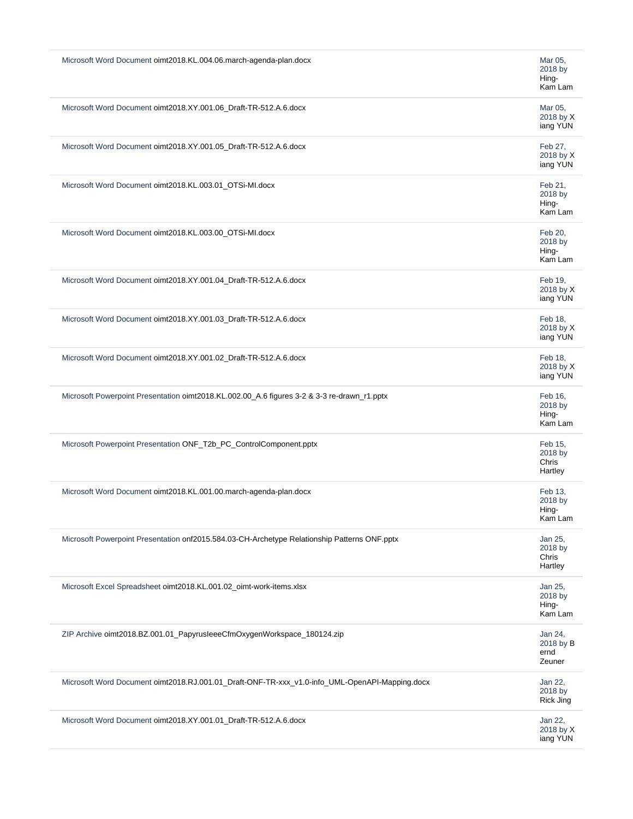| Microsoft Word Document oimt2018.KL.004.06.march-agenda-plan.docx<br>Mar 05,<br>2018 by<br>Hing-<br>Kam Lam<br>Microsoft Word Document oimt2018.XY.001.06_Draft-TR-512.A.6.docx<br>Mar 05,<br>2018 by X<br>iang YUN<br>Microsoft Word Document oimt2018.XY.001.05_Draft-TR-512.A.6.docx<br>Feb 27,<br>2018 by X<br>iang YUN<br>Microsoft Word Document oimt2018.KL.003.01_OTSi-MI.docx<br>Feb 21,<br>2018 by<br>Hing-<br>Kam Lam<br>Microsoft Word Document oimt2018.KL.003.00_OTSi-MI.docx<br>Feb 20,<br>2018 by<br>Hing-<br>Kam Lam<br>Microsoft Word Document oimt2018.XY.001.04_Draft-TR-512.A.6.docx<br>Feb 19,<br>2018 by X<br>iang YUN<br>Microsoft Word Document oimt2018.XY.001.03_Draft-TR-512.A.6.docx<br>Feb 18,<br>2018 by X<br>iang YUN<br>Microsoft Word Document oimt2018.XY.001.02_Draft-TR-512.A.6.docx<br>Feb 18,<br>2018 by X<br>iang YUN<br>Microsoft Powerpoint Presentation oimt2018.KL.002.00_A.6 figures 3-2 & 3-3 re-drawn_r1.pptx<br>Feb 16,<br>2018 by<br>Hing-<br>Kam Lam<br>Microsoft Powerpoint Presentation ONF_T2b_PC_ControlComponent.pptx<br>Feb 15,<br>2018 by<br>Chris<br>Hartley<br>Microsoft Word Document oimt2018.KL.001.00.march-agenda-plan.docx<br>Feb 13,<br>2018 by<br>Hina-<br>Kam Lam<br>Microsoft Powerpoint Presentation onf2015.584.03-CH-Archetype Relationship Patterns ONF.pptx<br>Jan 25,<br>2018 by<br>Chris<br>Hartley<br>Microsoft Excel Spreadsheet oimt2018.KL.001.02_oimt-work-items.xlsx<br>Jan 25,<br>2018 by<br>Hing-<br>Kam Lam<br>ZIP Archive oimt2018.BZ.001.01_PapyrusleeeCfmOxygenWorkspace_180124.zip<br>Jan 24,<br>2018 by B<br>ernd<br>Zeuner<br>Microsoft Word Document oimt2018.RJ.001.01_Draft-ONF-TR-xxx_v1.0-info_UML-OpenAPI-Mapping.docx<br>Jan 22,<br>2018 by<br><b>Rick Jing</b><br>Microsoft Word Document oimt2018.XY.001.01_Draft-TR-512.A.6.docx<br>Jan 22,<br>2018 by X<br>iang YUN |  |
|---------------------------------------------------------------------------------------------------------------------------------------------------------------------------------------------------------------------------------------------------------------------------------------------------------------------------------------------------------------------------------------------------------------------------------------------------------------------------------------------------------------------------------------------------------------------------------------------------------------------------------------------------------------------------------------------------------------------------------------------------------------------------------------------------------------------------------------------------------------------------------------------------------------------------------------------------------------------------------------------------------------------------------------------------------------------------------------------------------------------------------------------------------------------------------------------------------------------------------------------------------------------------------------------------------------------------------------------------------------------------------------------------------------------------------------------------------------------------------------------------------------------------------------------------------------------------------------------------------------------------------------------------------------------------------------------------------------------------------------------------------------------------------------------------------------------------------------------------------------------------|--|
|                                                                                                                                                                                                                                                                                                                                                                                                                                                                                                                                                                                                                                                                                                                                                                                                                                                                                                                                                                                                                                                                                                                                                                                                                                                                                                                                                                                                                                                                                                                                                                                                                                                                                                                                                                                                                                                                           |  |
|                                                                                                                                                                                                                                                                                                                                                                                                                                                                                                                                                                                                                                                                                                                                                                                                                                                                                                                                                                                                                                                                                                                                                                                                                                                                                                                                                                                                                                                                                                                                                                                                                                                                                                                                                                                                                                                                           |  |
|                                                                                                                                                                                                                                                                                                                                                                                                                                                                                                                                                                                                                                                                                                                                                                                                                                                                                                                                                                                                                                                                                                                                                                                                                                                                                                                                                                                                                                                                                                                                                                                                                                                                                                                                                                                                                                                                           |  |
|                                                                                                                                                                                                                                                                                                                                                                                                                                                                                                                                                                                                                                                                                                                                                                                                                                                                                                                                                                                                                                                                                                                                                                                                                                                                                                                                                                                                                                                                                                                                                                                                                                                                                                                                                                                                                                                                           |  |
|                                                                                                                                                                                                                                                                                                                                                                                                                                                                                                                                                                                                                                                                                                                                                                                                                                                                                                                                                                                                                                                                                                                                                                                                                                                                                                                                                                                                                                                                                                                                                                                                                                                                                                                                                                                                                                                                           |  |
|                                                                                                                                                                                                                                                                                                                                                                                                                                                                                                                                                                                                                                                                                                                                                                                                                                                                                                                                                                                                                                                                                                                                                                                                                                                                                                                                                                                                                                                                                                                                                                                                                                                                                                                                                                                                                                                                           |  |
|                                                                                                                                                                                                                                                                                                                                                                                                                                                                                                                                                                                                                                                                                                                                                                                                                                                                                                                                                                                                                                                                                                                                                                                                                                                                                                                                                                                                                                                                                                                                                                                                                                                                                                                                                                                                                                                                           |  |
|                                                                                                                                                                                                                                                                                                                                                                                                                                                                                                                                                                                                                                                                                                                                                                                                                                                                                                                                                                                                                                                                                                                                                                                                                                                                                                                                                                                                                                                                                                                                                                                                                                                                                                                                                                                                                                                                           |  |
|                                                                                                                                                                                                                                                                                                                                                                                                                                                                                                                                                                                                                                                                                                                                                                                                                                                                                                                                                                                                                                                                                                                                                                                                                                                                                                                                                                                                                                                                                                                                                                                                                                                                                                                                                                                                                                                                           |  |
|                                                                                                                                                                                                                                                                                                                                                                                                                                                                                                                                                                                                                                                                                                                                                                                                                                                                                                                                                                                                                                                                                                                                                                                                                                                                                                                                                                                                                                                                                                                                                                                                                                                                                                                                                                                                                                                                           |  |
|                                                                                                                                                                                                                                                                                                                                                                                                                                                                                                                                                                                                                                                                                                                                                                                                                                                                                                                                                                                                                                                                                                                                                                                                                                                                                                                                                                                                                                                                                                                                                                                                                                                                                                                                                                                                                                                                           |  |
|                                                                                                                                                                                                                                                                                                                                                                                                                                                                                                                                                                                                                                                                                                                                                                                                                                                                                                                                                                                                                                                                                                                                                                                                                                                                                                                                                                                                                                                                                                                                                                                                                                                                                                                                                                                                                                                                           |  |
|                                                                                                                                                                                                                                                                                                                                                                                                                                                                                                                                                                                                                                                                                                                                                                                                                                                                                                                                                                                                                                                                                                                                                                                                                                                                                                                                                                                                                                                                                                                                                                                                                                                                                                                                                                                                                                                                           |  |
|                                                                                                                                                                                                                                                                                                                                                                                                                                                                                                                                                                                                                                                                                                                                                                                                                                                                                                                                                                                                                                                                                                                                                                                                                                                                                                                                                                                                                                                                                                                                                                                                                                                                                                                                                                                                                                                                           |  |
|                                                                                                                                                                                                                                                                                                                                                                                                                                                                                                                                                                                                                                                                                                                                                                                                                                                                                                                                                                                                                                                                                                                                                                                                                                                                                                                                                                                                                                                                                                                                                                                                                                                                                                                                                                                                                                                                           |  |
|                                                                                                                                                                                                                                                                                                                                                                                                                                                                                                                                                                                                                                                                                                                                                                                                                                                                                                                                                                                                                                                                                                                                                                                                                                                                                                                                                                                                                                                                                                                                                                                                                                                                                                                                                                                                                                                                           |  |